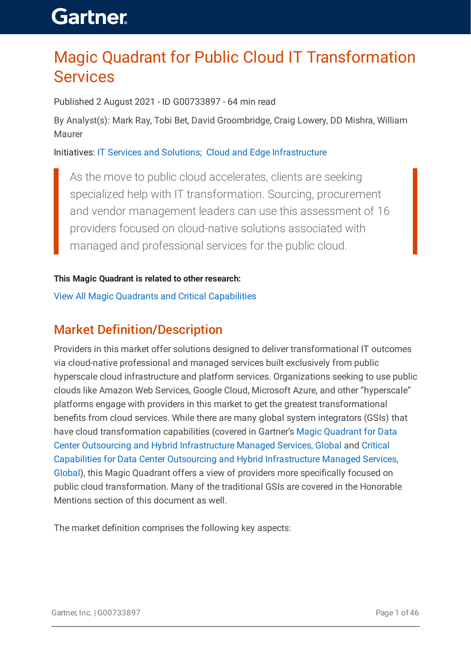### Magic Quadrant for Public Cloud IT Transformation Services

Published 2 August 2021 - ID G00733897 - 64 min read

By Analyst(s): Mark Ray, Tobi Bet, David Groombridge, Craig Lowery, DD Mishra, William Maurer

Initiatives: IT Services and [Solutions;](https://www.gartner.com/explore/initiatives/overview/15954) Cloud and Edge [Infrastructure](https://www.gartner.com/explore/initiatives/overview/10902)

As the move to public cloud accelerates, clients are seeking specialized help with IT transformation. Sourcing, procurement and vendor management leaders can use this assessment of 16 providers focused on cloud-native solutions associated with managed and professional services for the public cloud.

#### **This Magic Quadrant is related to other research:**

View All Magic Quadrants and Critical [Capabilities](https://www.gartner.com/explore/magic-quadrant)

### Market Definition/Description

Providers in this market offer solutions designed to deliver transformational IT outcomes via cloud-native professional and managed services built exclusively from public hyperscale cloud infrastructure and platform services. Organizations seeking to use public clouds like Amazon Web Services, Google Cloud, Microsoft Azure, and other "hyperscale" platforms engage with providers in this market to get the greatest transformational benefits from cloud services. While there are many global system integrators (GSIs) that have cloud [transformation](https://www.gartner.com/document/code/733226?ref=authbody&refval=) capabilities (covered in Gartner's Magic Quadrant for Data Center Outsourcing and Hybrid [Infrastructure](https://www.gartner.com/document/code/739673?ref=authbody&refval=) Managed Services, Global and Critical Capabilities for Data Center Outsourcing and Hybrid Infrastructure Managed Services, Global), this Magic Quadrant offers a view of providers more specifically focused on public cloud transformation. Many of the traditional GSIs are covered in the Honorable Mentions section of this document as well.

The market definition comprises the following key aspects: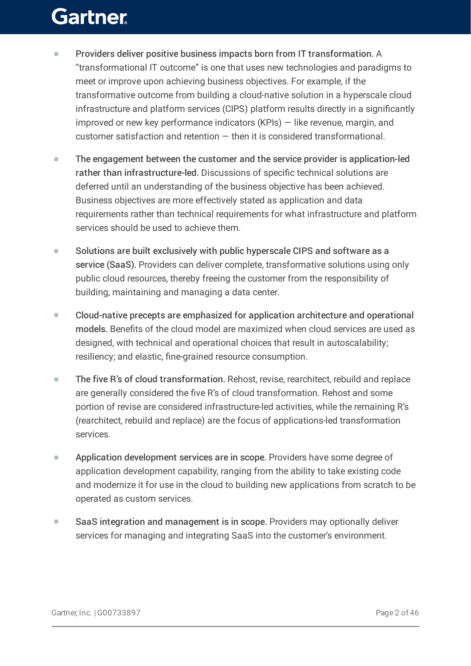- Providers deliver positive business impacts born from IT transformation. A "transformational IT outcome" is one that uses new technologies and paradigms to meet or improve upon achieving business objectives. For example, if the transformative outcome from building a cloud-native solution in a hyperscale cloud infrastructure and platform services (CIPS) platform results directly in a significantly improved or new key performance indicators (KPIs) — like revenue, margin, and customer satisfaction and retention — then it is considered transformational. ■
- The engagement between the customer and the service provider is application-led rather than infrastructure-led. Discussions of specific technical solutions are deferred until an understanding of the business objective has been achieved. Business objectives are more effectively stated as application and data requirements rather than technical requirements for what infrastructure and platform services should be used to achieve them. ■
- Solutions are built exclusively with public hyperscale CIPS and software as a service (SaaS). Providers can deliver complete, transformative solutions using only public cloud resources, thereby freeing the customer from the responsibility of building, maintaining and managing a data center. ■
- Cloud-native precepts are emphasized for application architecture and operational models. Benefits of the cloud model are maximized when cloud services are used as designed, with technical and operational choices that result in autoscalability; resiliency; and elastic, fine-grained resource consumption. ■
- The five R's of cloud transformation. Rehost, revise, rearchitect, rebuild and replace are generally considered the five R's of cloud transformation. Rehost and some portion of revise are considered infrastructure-led activities, while the remaining R's (rearchitect, rebuild and replace) are the focus of applications-led transformation services. ■
- Application development services are in scope. Providers have some degree of application development capability, ranging from the ability to take existing code and modernize it for use in the cloud to building new applications from scratch to be operated as custom services. ■
- SaaS integration and management is in scope. Providers may optionally deliver services for managing and integrating SaaS into the customer's environment. ■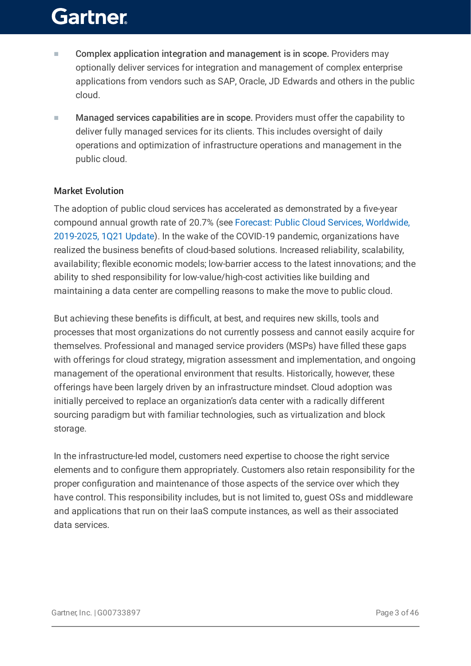- Complex application integration and management is in scope. Providers may optionally deliver services for integration and management of complex enterprise applications from vendors such as SAP, Oracle, JD Edwards and others in the public cloud. ■
- Managed services capabilities are in scope. Providers must offer the capability to deliver fully managed services for its clients. This includes oversight of daily operations and optimization of infrastructure operations and management in the public cloud. ■

#### Market Evolution

The adoption of public cloud services has accelerated as demonstrated by a five-year compound annual growth rate of 20.7% (see Forecast: Public Cloud Services, Worldwide, 2019-2025, 1Q21 Update). In the wake of the COVID-19 pandemic, [organizations](https://www.gartner.com/document/code/748510?ref=authbody&refval=) have realized the business benefits of cloud-based solutions. Increased reliability, scalability, availability; flexible economic models; low-barrier access to the latest innovations; and the ability to shed responsibility for low-value/high-cost activities like building and maintaining a data center are compelling reasons to make the move to public cloud.

But achieving these benefits is difficult, at best, and requires new skills, tools and processes that most organizations do not currently possess and cannot easily acquire for themselves. Professional and managed service providers (MSPs) have filled these gaps with offerings for cloud strategy, migration assessment and implementation, and ongoing management of the operational environment that results. Historically, however, these offerings have been largely driven by an infrastructure mindset. Cloud adoption was initially perceived to replace an organization's data center with a radically different sourcing paradigm but with familiar technologies, such as virtualization and block storage.

In the infrastructure-led model, customers need expertise to choose the right service elements and to configure them appropriately. Customers also retain responsibility for the proper configuration and maintenance of those aspects of the service over which they have control. This responsibility includes, but is not limited to, guest OSs and middleware and applications that run on their IaaS compute instances, as well as their associated data services.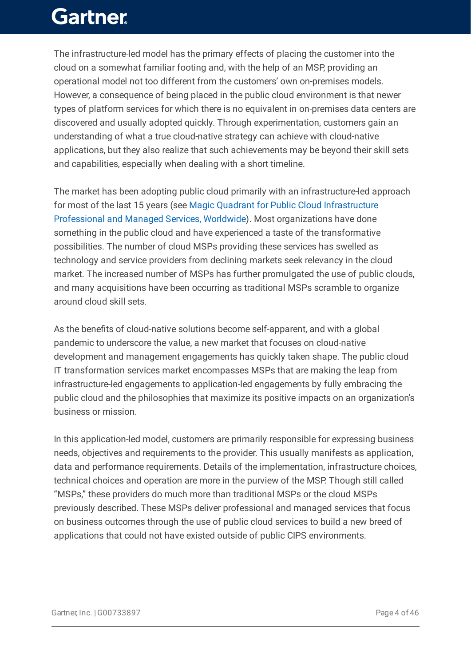The infrastructure-led model has the primary effects of placing the customer into the cloud on a somewhat familiar footing and, with the help of an MSP, providing an operational model not too different from the customers' own on-premises models. However, a consequence of being placed in the public cloud environment is that newer types of platform services for which there is no equivalent in on-premises data centers are discovered and usually adopted quickly. Through experimentation, customers gain an understanding of what a true cloud-native strategy can achieve with cloud-native applications, but they also realize that such achievements may be beyond their skill sets and capabilities, especially when dealing with a short timeline.

The market has been adopting public cloud primarily with an infrastructure-led approach for most of the last 15 years (see Magic Quadrant for Public Cloud Infrastructure Professional and Managed Services, Worldwide). Most [organizations](https://www.gartner.com/document/code/387916?ref=authbody&refval=) have done something in the public cloud and have experienced a taste of the transformative possibilities. The number of cloud MSPs providing these services has swelled as technology and service providers from declining markets seek relevancy in the cloud market. The increased number of MSPs has further promulgated the use of public clouds, and many acquisitions have been occurring as traditional MSPs scramble to organize around cloud skill sets.

As the benefits of cloud-native solutions become self-apparent, and with a global pandemic to underscore the value, a new market that focuses on cloud-native development and management engagements has quickly taken shape. The public cloud IT transformation services market encompasses MSPs that are making the leap from infrastructure-led engagements to application-led engagements by fully embracing the public cloud and the philosophies that maximize its positive impacts on an organization's business or mission.

In this application-led model, customers are primarily responsible for expressing business needs, objectives and requirements to the provider. This usually manifests as application, data and performance requirements. Details of the implementation, infrastructure choices, technical choices and operation are more in the purview of the MSP. Though still called "MSPs," these providers do much more than traditional MSPs or the cloud MSPs previously described. These MSPs deliver professional and managed services that focus on business outcomes through the use of public cloud services to build a new breed of applications that could not have existed outside of public CIPS environments.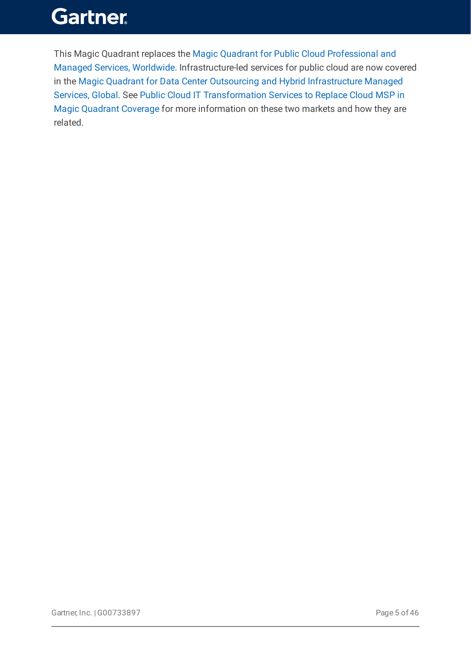This Magic Quadrant replaces the Magic Quadrant for Public Cloud Professional and Managed Services, Worldwide. [Infrastructure-led](https://www.gartner.com/document/code/387916?ref=authbody&refval=) services for public cloud are now covered in the Magic Quadrant for Data Center Outsourcing and Hybrid Infrastructure Managed Services, Global. See Public Cloud IT [Transformation](https://www.gartner.com/document/code/733226?ref=authbody&refval=) Services to Replace Cloud MSP in Magic Quadrant Coverage for more information on these two markets and how they are related.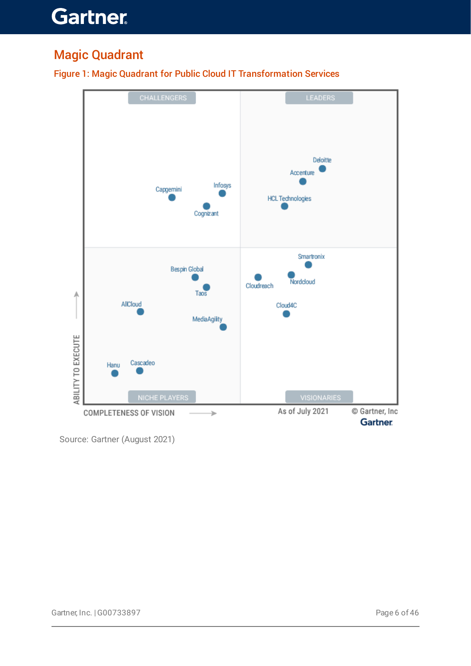### Magic Quadrant



Figure 1: Magic Quadrant for Public Cloud IT Transformation Services

Source: Gartner (August 2021)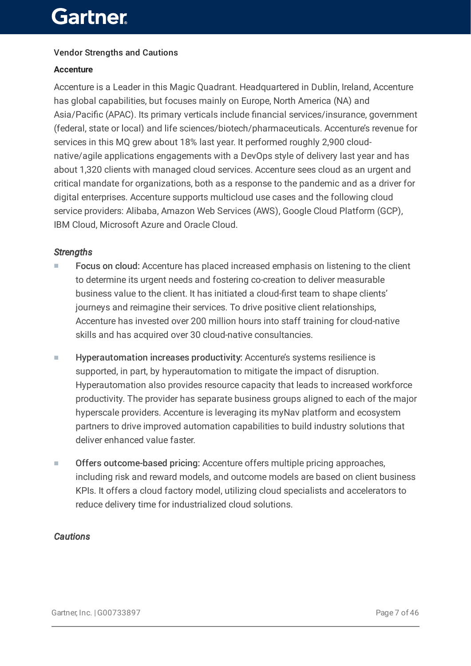#### Vendor Strengths and Cautions

#### **Accenture**

Accenture is a Leader in this Magic Quadrant. Headquartered in Dublin, Ireland, Accenture has global capabilities, but focuses mainly on Europe, North America (NA) and Asia/Pacific (APAC). Its primary verticals include financial services/insurance, government (federal, state or local) and life sciences/biotech/pharmaceuticals. Accenture's revenue for services in this MQ grew about 18% last year. It performed roughly 2,900 cloudnative/agile applications engagements with a DevOps style of delivery last year and has about 1,320 clients with managed cloud services. Accenture sees cloud as an urgent and critical mandate for organizations, both as a response to the pandemic and as a driver for digital enterprises. Accenture supports multicloud use cases and the following cloud service providers: Alibaba, Amazon Web Services (AWS), Google Cloud Platform (GCP), IBM Cloud, Microsoft Azure and Oracle Cloud.

#### *Strengths*

- Focus on cloud: Accenture has placed increased emphasis on listening to the client to determine its urgent needs and fostering co-creation to deliver measurable business value to the client. It has initiated a cloud-first team to shape clients' journeys and reimagine their services. To drive positive client relationships, Accenture has invested over 200 million hours into staff training for cloud-native skills and has acquired over 30 cloud-native consultancies. ■
- Hyperautomation increases productivity: Accenture's systems resilience is supported, in part, by hyperautomation to mitigate the impact of disruption. Hyperautomation also provides resource capacity that leads to increased workforce productivity. The provider has separate business groups aligned to each of the major hyperscale providers. Accenture is leveraging its myNav platform and ecosystem partners to drive improved automation capabilities to build industry solutions that deliver enhanced value faster. ■
- Offers outcome-based pricing: Accenture offers multiple pricing approaches, including risk and reward models, and outcome models are based on client business KPIs. It offers a cloud factory model, utilizing cloud specialists and accelerators to reduce delivery time for industrialized cloud solutions. ■

#### *Cautions*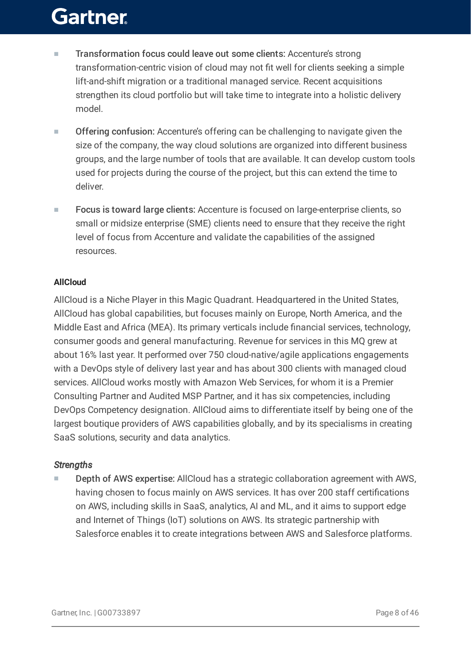- Transformation focus could leave out some clients: Accenture's strong transformation-centric vision of cloud may not fit well for clients seeking a simple lift-and-shift migration or a traditional managed service. Recent acquisitions strengthen its cloud portfolio but will take time to integrate into a holistic delivery model. ■
- Offering confusion: Accenture's offering can be challenging to navigate given the size of the company, the way cloud solutions are organized into different business groups, and the large number of tools that are available. It can develop custom tools used for projects during the course of the project, but this can extend the time to deliver. ■
- Focus is toward large clients: Accenture is focused on large-enterprise clients, so small or midsize enterprise (SME) clients need to ensure that they receive the right level of focus from Accenture and validate the capabilities of the assigned resources. ■

#### **AllCloud**

AllCloud is a Niche Player in this Magic Quadrant. Headquartered in the United States, AllCloud has global capabilities, but focuses mainly on Europe, North America, and the Middle East and Africa (MEA). Its primary verticals include financial services, technology, consumer goods and general manufacturing. Revenue for services in this MQ grew at about 16% last year. It performed over 750 cloud-native/agile applications engagements with a DevOps style of delivery last year and has about 300 clients with managed cloud services. AllCloud works mostly with Amazon Web Services, for whom it is a Premier Consulting Partner and Audited MSP Partner, and it has six competencies, including DevOps Competency designation. AllCloud aims to differentiate itself by being one of the largest boutique providers of AWS capabilities globally, and by its specialisms in creating SaaS solutions, security and data analytics.

#### *Strengths*

Depth of AWS expertise: AllCloud has a strategic collaboration agreement with AWS, having chosen to focus mainly on AWS services. It has over 200 staff certifications on AWS, including skills in SaaS, analytics, AI and ML, and it aims to support edge and Internet of Things (IoT) solutions on AWS. Its strategic partnership with Salesforce enables it to create integrations between AWS and Salesforce platforms. ■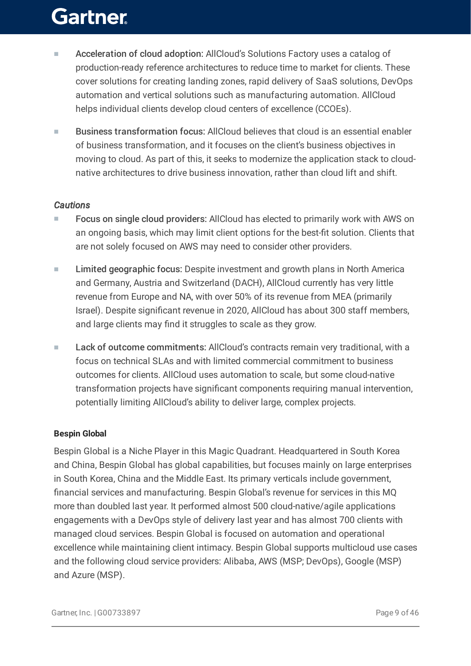- Acceleration of cloud adoption: AllCloud's Solutions Factory uses a catalog of production-ready reference architectures to reduce time to market for clients. These cover solutions for creating landing zones, rapid delivery of SaaS solutions, DevOps automation and vertical solutions such as manufacturing automation. AllCloud helps individual clients develop cloud centers of excellence (CCOEs). ■
- Business transformation focus: AllCloud believes that cloud is an essential enabler of business transformation, and it focuses on the client's business objectives in moving to cloud. As part of this, it seeks to modernize the application stack to cloudnative architectures to drive business innovation, rather than cloud lift and shift. ■

#### *Cautions*

- Focus on single cloud providers: AllCloud has elected to primarily work with AWS on an ongoing basis, which may limit client options for the best-fit solution. Clients that are not solely focused on AWS may need to consider other providers. ■
- Limited geographic focus: Despite investment and growth plans in North America and Germany, Austria and Switzerland (DACH), AllCloud currently has very little revenue from Europe and NA, with over 50% of its revenue from MEA (primarily Israel). Despite significant revenue in 2020, AllCloud has about 300 staff members, and large clients may find it struggles to scale as they grow. ■
- Lack of outcome commitments: AllCloud's contracts remain very traditional, with a focus on technical SLAs and with limited commercial commitment to business outcomes for clients. AllCloud uses automation to scale, but some cloud-native transformation projects have significant components requiring manual intervention, potentially limiting AllCloud's ability to deliver large, complex projects. ■

#### **Bespin Global**

Bespin Global is a Niche Player in this Magic Quadrant. Headquartered in South Korea and China, Bespin Global has global capabilities, but focuses mainly on large enterprises in South Korea, China and the Middle East. Its primary verticals include government, financial services and manufacturing. Bespin Global's revenue for services in this MQ more than doubled last year. It performed almost 500 cloud-native/agile applications engagements with a DevOps style of delivery last year and has almost 700 clients with managed cloud services. Bespin Global is focused on automation and operational excellence while maintaining client intimacy. Bespin Global supports multicloud use cases and the following cloud service providers: Alibaba, AWS (MSP; DevOps), Google (MSP) and Azure (MSP).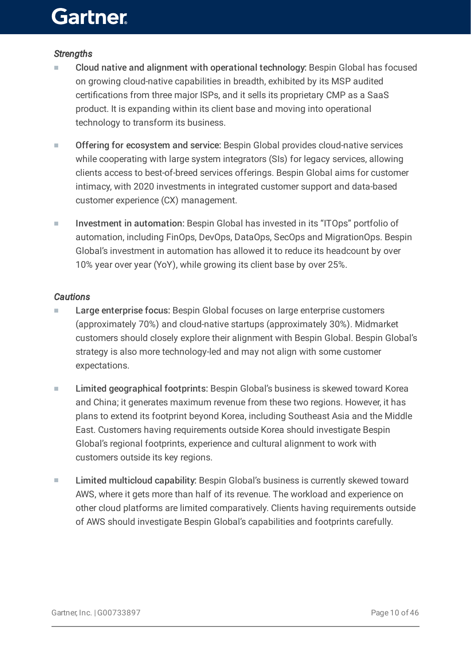#### *Strengths*

- Cloud native and alignment with operational technology: Bespin Global has focused on growing cloud-native capabilities in breadth, exhibited by its MSP audited certifications from three major ISPs, and it sells its proprietary CMP as a SaaS product. It is expanding within its client base and moving into operational technology to transform its business. ■
- Offering for ecosystem and service: Bespin Global provides cloud-native services while cooperating with large system integrators (SIs) for legacy services, allowing clients access to best-of-breed services offerings. Bespin Global aims for customer intimacy, with 2020 investments in integrated customer support and data-based customer experience (CX) management. ■
- Investment in automation: Bespin Global has invested in its "ITOps" portfolio of automation, including FinOps, DevOps, DataOps, SecOps and MigrationOps. Bespin Global's investment in automation has allowed it to reduce its headcount by over 10% year over year (YoY), while growing its client base by over 25%. ■

#### *Cautions*

- Large enterprise focus: Bespin Global focuses on large enterprise customers (approximately 70%) and cloud-native startups (approximately 30%). Midmarket customers should closely explore their alignment with Bespin Global. Bespin Global's strategy is also more technology-led and may not align with some customer expectations. ■
- Limited geographical footprints: Bespin Global's business is skewed toward Korea and China; it generates maximum revenue from these two regions. However, it has plans to extend its footprint beyond Korea, including Southeast Asia and the Middle East. Customers having requirements outside Korea should investigate Bespin Global's regional footprints, experience and cultural alignment to work with customers outside its key regions. ■
- Limited multicloud capability: Bespin Global's business is currently skewed toward AWS, where it gets more than half of its revenue. The workload and experience on other cloud platforms are limited comparatively. Clients having requirements outside of AWS should investigate Bespin Global's capabilities and footprints carefully. ■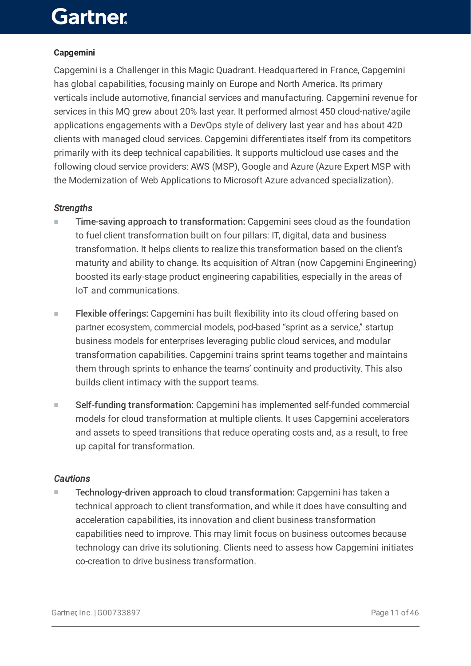#### **Capgemini**

Capgemini is a Challenger in this Magic Quadrant. Headquartered in France, Capgemini has global capabilities, focusing mainly on Europe and North America. Its primary verticals include automotive, financial services and manufacturing. Capgemini revenue for services in this MQ grew about 20% last year. It performed almost 450 cloud-native/agile applications engagements with a DevOps style of delivery last year and has about 420 clients with managed cloud services. Capgemini differentiates itself from its competitors primarily with its deep technical capabilities. It supports multicloud use cases and the following cloud service providers: AWS (MSP), Google and Azure (Azure Expert MSP with the Modernization of Web Applications to Microsoft Azure advanced specialization).

#### *Strengths*

- Time-saving approach to transformation: Capgemini sees cloud as the foundation to fuel client transformation built on four pillars: IT, digital, data and business transformation. It helps clients to realize this transformation based on the client's maturity and ability to change. Its acquisition of Altran (now Capgemini Engineering) boosted its early-stage product engineering capabilities, especially in the areas of IoT and communications. ■
- Flexible offerings: Capgemini has built flexibility into its cloud offering based on partner ecosystem, commercial models, pod-based "sprint as a service," startup business models for enterprises leveraging public cloud services, and modular transformation capabilities. Capgemini trains sprint teams together and maintains them through sprints to enhance the teams' continuity and productivity. This also builds client intimacy with the support teams. ■
- Self-funding transformation: Capgemini has implemented self-funded commercial models for cloud transformation at multiple clients. It uses Capgemini accelerators and assets to speed transitions that reduce operating costs and, as a result, to free up capital for transformation. ■

#### *Cautions*

Technology-driven approach to cloud transformation: Capgemini has taken a technical approach to client transformation, and while it does have consulting and acceleration capabilities, its innovation and client business transformation capabilities need to improve. This may limit focus on business outcomes because technology can drive its solutioning. Clients need to assess how Capgemini initiates co-creation to drive business transformation. ■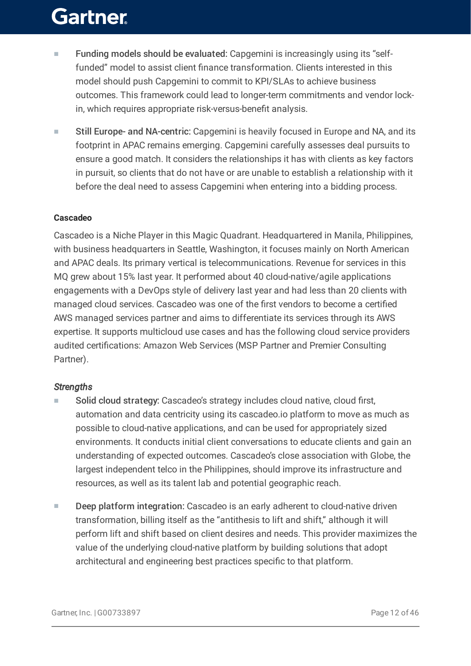- Funding models should be evaluated: Capgemini is increasingly using its "selffunded" model to assist client finance transformation. Clients interested in this model should push Capgemini to commit to KPI/SLAs to achieve business outcomes. This framework could lead to longer-term commitments and vendor lockin, which requires appropriate risk-versus-benefit analysis. ■
- Still Europe- and NA-centric: Capgemini is heavily focused in Europe and NA, and its footprint in APAC remains emerging. Capgemini carefully assesses deal pursuits to ensure a good match. It considers the relationships it has with clients as key factors in pursuit, so clients that do not have or are unable to establish a relationship with it before the deal need to assess Capgemini when entering into a bidding process. ■

#### **Cascadeo**

Cascadeo is a Niche Player in this Magic Quadrant. Headquartered in Manila, Philippines, with business headquarters in Seattle, Washington, it focuses mainly on North American and APAC deals. Its primary vertical is telecommunications. Revenue for services in this MQ grew about 15% last year. It performed about 40 cloud-native/agile applications engagements with a DevOps style of delivery last year and had less than 20 clients with managed cloud services. Cascadeo was one of the first vendors to become a certified AWS managed services partner and aims to differentiate its services through its AWS expertise. It supports multicloud use cases and has the following cloud service providers audited certifications: Amazon Web Services (MSP Partner and Premier Consulting Partner).

#### *Strengths*

- Solid cloud strategy: Cascadeo's strategy includes cloud native, cloud first, automation and data centricity using its cascadeo.io platform to move as much as possible to cloud-native applications, and can be used for appropriately sized environments. It conducts initial client conversations to educate clients and gain an understanding of expected outcomes. Cascadeo's close association with Globe, the largest independent telco in the Philippines, should improve its infrastructure and resources, as well as its talent lab and potential geographic reach. ■
- Deep platform integration: Cascadeo is an early adherent to cloud-native driven transformation, billing itself as the "antithesis to lift and shift," although it will perform lift and shift based on client desires and needs. This provider maximizes the value of the underlying cloud-native platform by building solutions that adopt architectural and engineering best practices specific to that platform. ■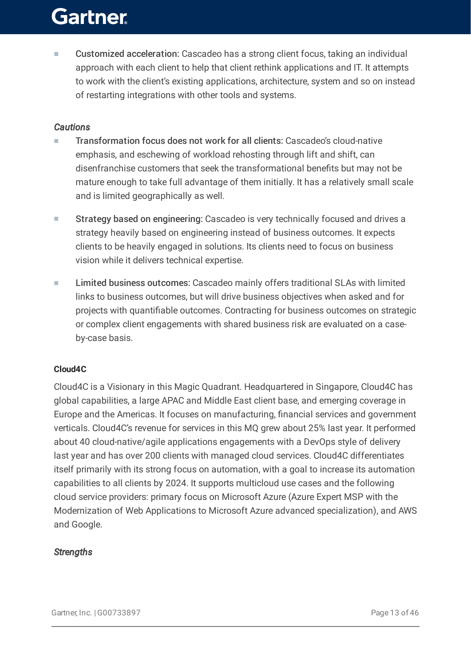Customized acceleration: Cascadeo has a strong client focus, taking an individual approach with each client to help that client rethink applications and IT. It attempts to work with the client's existing applications, architecture, system and so on instead of restarting integrations with other tools and systems. ■

#### *Cautions*

- Transformation focus does not work for all clients: Cascadeo's cloud-native emphasis, and eschewing of workload rehosting through lift and shift, can disenfranchise customers that seek the transformational benefits but may not be mature enough to take full advantage of them initially. It has a relatively small scale and is limited geographically as well. ■
- Strategy based on engineering: Cascadeo is very technically focused and drives a strategy heavily based on engineering instead of business outcomes. It expects clients to be heavily engaged in solutions. Its clients need to focus on business vision while it delivers technical expertise. ■
- Limited business outcomes: Cascadeo mainly offers traditional SLAs with limited links to business outcomes, but will drive business objectives when asked and for projects with quantifiable outcomes. Contracting for business outcomes on strategic or complex client engagements with shared business risk are evaluated on a caseby-case basis. ■

#### **Cloud4C**

Cloud4C is a Visionary in this Magic Quadrant. Headquartered in Singapore, Cloud4C has global capabilities, a large APAC and Middle East client base, and emerging coverage in Europe and the Americas. It focuses on manufacturing, financial services and government verticals. Cloud4C's revenue for services in this MQ grew about 25% last year. It performed about 40 cloud-native/agile applications engagements with a DevOps style of delivery last year and has over 200 clients with managed cloud services. Cloud4C differentiates itself primarily with its strong focus on automation, with a goal to increase its automation capabilities to all clients by 2024. It supports multicloud use cases and the following cloud service providers: primary focus on Microsoft Azure (Azure Expert MSP with the Modernization of Web Applications to Microsoft Azure advanced specialization), and AWS and Google.

#### *Strengths*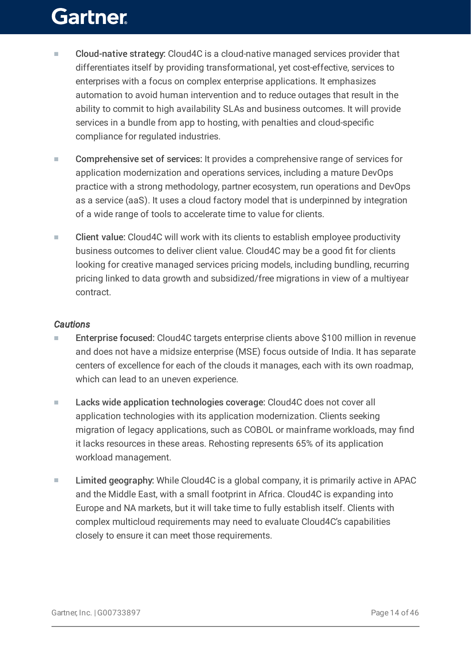- Cloud-native strategy: Cloud4C is a cloud-native managed services provider that differentiates itself by providing transformational, yet cost-effective, services to enterprises with a focus on complex enterprise applications. It emphasizes automation to avoid human intervention and to reduce outages that result in the ability to commit to high availability SLAs and business outcomes. It will provide services in a bundle from app to hosting, with penalties and cloud-specific compliance for regulated industries. ■
- Comprehensive set of services: It provides a comprehensive range of services for application modernization and operations services, including a mature DevOps practice with a strong methodology, partner ecosystem, run operations and DevOps as a service (aaS). It uses a cloud factory model that is underpinned by integration of a wide range of tools to accelerate time to value for clients. ■
- Client value: Cloud4C will work with its clients to establish employee productivity business outcomes to deliver client value. Cloud4C may be a good fit for clients looking for creative managed services pricing models, including bundling, recurring pricing linked to data growth and subsidized/free migrations in view of a multiyear contract. ■

#### *Cautions*

- Enterprise focused: Cloud4C targets enterprise clients above \$100 million in revenue and does not have a midsize enterprise (MSE) focus outside of India. It has separate centers of excellence for each of the clouds it manages, each with its own roadmap, which can lead to an uneven experience. ■
- Lacks wide application technologies coverage: Cloud4C does not cover all application technologies with its application modernization. Clients seeking migration of legacy applications, such as COBOL or mainframe workloads, may find it lacks resources in these areas. Rehosting represents 65% of its application workload management. ■
- Limited geography: While Cloud4C is a global company, it is primarily active in APAC and the Middle East, with a small footprint in Africa. Cloud4C is expanding into Europe and NA markets, but it will take time to fully establish itself. Clients with complex multicloud requirements may need to evaluate Cloud4C's capabilities closely to ensure it can meet those requirements. ■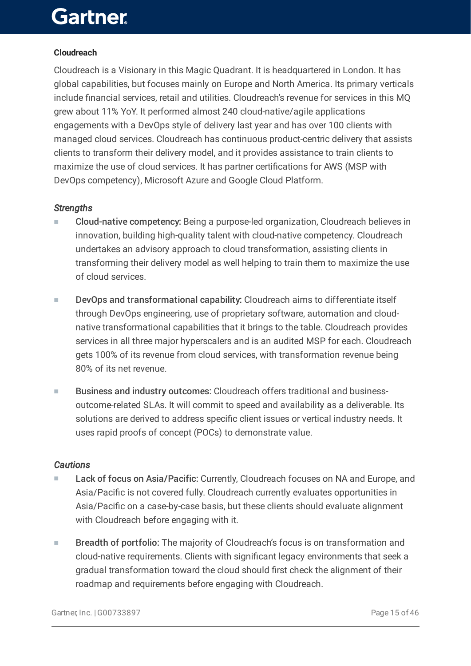#### **Cloudreach**

Cloudreach is a Visionary in this Magic Quadrant. It is headquartered in London. It has global capabilities, but focuses mainly on Europe and North America. Its primary verticals include financial services, retail and utilities. Cloudreach's revenue for services in this MQ grew about 11% YoY. It performed almost 240 cloud-native/agile applications engagements with a DevOps style of delivery last year and has over 100 clients with managed cloud services. Cloudreach has continuous product-centric delivery that assists clients to transform their delivery model, and it provides assistance to train clients to maximize the use of cloud services. It has partner certifications for AWS (MSP with DevOps competency), Microsoft Azure and Google Cloud Platform.

#### *Strengths*

- Cloud-native competency: Being a purpose-led organization, Cloudreach believes in innovation, building high-quality talent with cloud-native competency. Cloudreach undertakes an advisory approach to cloud transformation, assisting clients in transforming their delivery model as well helping to train them to maximize the use of cloud services. ■
- DevOps and transformational capability: Cloudreach aims to differentiate itself through DevOps engineering, use of proprietary software, automation and cloudnative transformational capabilities that it brings to the table. Cloudreach provides services in all three major hyperscalers and is an audited MSP for each. Cloudreach gets 100% of its revenue from cloud services, with transformation revenue being 80% of its net revenue. ■
- Business and industry outcomes: Cloudreach offers traditional and businessoutcome-related SLAs. It will commit to speed and availability as a deliverable. Its solutions are derived to address specific client issues or vertical industry needs. It uses rapid proofs of concept (POCs) to demonstrate value. ■

#### *Cautions*

- Lack of focus on Asia/Pacific: Currently, Cloudreach focuses on NA and Europe, and Asia/Pacific is not covered fully. Cloudreach currently evaluates opportunities in Asia/Pacific on a case-by-case basis, but these clients should evaluate alignment with Cloudreach before engaging with it. ■
- Breadth of portfolio: The majority of Cloudreach's focus is on transformation and cloud-native requirements. Clients with significant legacy environments that seek a gradual transformation toward the cloud should first check the alignment of their roadmap and requirements before engaging with Cloudreach. ■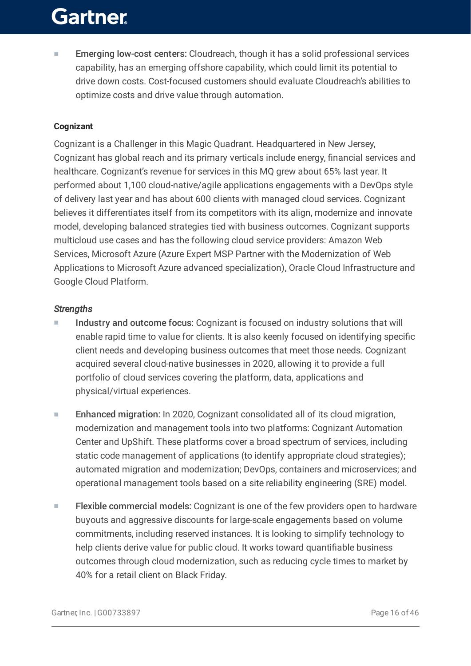Emerging low-cost centers: Cloudreach, though it has a solid professional services capability, has an emerging offshore capability, which could limit its potential to drive down costs. Cost-focused customers should evaluate Cloudreach's abilities to optimize costs and drive value through automation. ■

#### **Cognizant**

Cognizant is a Challenger in this Magic Quadrant. Headquartered in New Jersey, Cognizant has global reach and its primary verticals include energy, financial services and healthcare. Cognizant's revenue for services in this MQ grew about 65% last year. It performed about 1,100 cloud-native/agile applications engagements with a DevOps style of delivery last year and has about 600 clients with managed cloud services. Cognizant believes it differentiates itself from its competitors with its align, modernize and innovate model, developing balanced strategies tied with business outcomes. Cognizant supports multicloud use cases and has the following cloud service providers: Amazon Web Services, Microsoft Azure (Azure Expert MSP Partner with the Modernization of Web Applications to Microsoft Azure advanced specialization), Oracle Cloud Infrastructure and Google Cloud Platform.

#### *Strengths*

- Industry and outcome focus: Cognizant is focused on industry solutions that will enable rapid time to value for clients. It is also keenly focused on identifying specific client needs and developing business outcomes that meet those needs. Cognizant acquired several cloud-native businesses in 2020, allowing it to provide a full portfolio of cloud services covering the platform, data, applications and physical/virtual experiences. ■
- Enhanced migration: In 2020, Cognizant consolidated all of its cloud migration, modernization and management tools into two platforms: Cognizant Automation Center and UpShift. These platforms cover a broad spectrum of services, including static code management of applications (to identify appropriate cloud strategies); automated migration and modernization; DevOps, containers and microservices; and operational management tools based on a site reliability engineering (SRE) model. ■
- Flexible commercial models: Cognizant is one of the few providers open to hardware buyouts and aggressive discounts for large-scale engagements based on volume commitments, including reserved instances. It is looking to simplify technology to help clients derive value for public cloud. It works toward quantifiable business outcomes through cloud modernization, such as reducing cycle times to market by 40% for a retail client on Black Friday. ■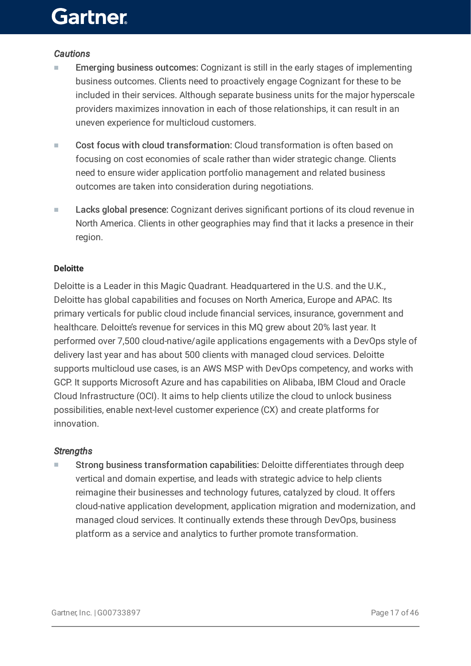#### *Cautions*

- Emerging business outcomes: Cognizant is still in the early stages of implementing business outcomes. Clients need to proactively engage Cognizant for these to be included in their services. Although separate business units for the major hyperscale providers maximizes innovation in each of those relationships, it can result in an uneven experience for multicloud customers. ■
- Cost focus with cloud transformation: Cloud transformation is often based on focusing on cost economies of scale rather than wider strategic change. Clients need to ensure wider application portfolio management and related business outcomes are taken into consideration during negotiations. ■
- Lacks global presence: Cognizant derives significant portions of its cloud revenue in North America. Clients in other geographies may find that it lacks a presence in their region. ■

#### **Deloitte**

Deloitte is a Leader in this Magic Quadrant. Headquartered in the U.S. and the U.K., Deloitte has global capabilities and focuses on North America, Europe and APAC. Its primary verticals for public cloud include financial services, insurance, government and healthcare. Deloitte's revenue for services in this MQ grew about 20% last year. It performed over 7,500 cloud-native/agile applications engagements with a DevOps style of delivery last year and has about 500 clients with managed cloud services. Deloitte supports multicloud use cases, is an AWS MSP with DevOps competency, and works with GCP. It supports Microsoft Azure and has capabilities on Alibaba, IBM Cloud and Oracle Cloud Infrastructure (OCI). It aims to help clients utilize the cloud to unlock business possibilities, enable next-level customer experience (CX) and create platforms for innovation.

#### *Strengths*

Strong business transformation capabilities: Deloitte differentiates through deep vertical and domain expertise, and leads with strategic advice to help clients reimagine their businesses and technology futures, catalyzed by cloud. It offers cloud-native application development, application migration and modernization, and managed cloud services. It continually extends these through DevOps, business platform as a service and analytics to further promote transformation. ■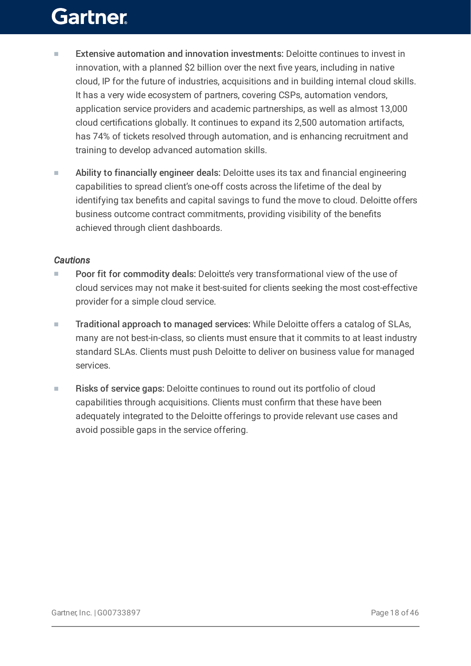- Extensive automation and innovation investments: Deloitte continues to invest in innovation, with a planned \$2 billion over the next five years, including in native cloud, IP for the future of industries, acquisitions and in building internal cloud skills. It has a very wide ecosystem of partners, covering CSPs, automation vendors, application service providers and academic partnerships, as well as almost 13,000 cloud certifications globally. It continues to expand its 2,500 automation artifacts, has 74% of tickets resolved through automation, and is enhancing recruitment and training to develop advanced automation skills. ■
- Ability to financially engineer deals: Deloitte uses its tax and financial engineering capabilities to spread client's one-off costs across the lifetime of the deal by identifying tax benefits and capital savings to fund the move to cloud. Deloitte offers business outcome contract commitments, providing visibility of the benefits achieved through client dashboards. ■

#### *Cautions*

- Poor fit for commodity deals: Deloitte's very transformational view of the use of cloud services may not make it best-suited for clients seeking the most cost-effective provider for a simple cloud service. ■
- Traditional approach to managed services: While Deloitte offers a catalog of SLAs, many are not best-in-class, so clients must ensure that it commits to at least industry standard SLAs. Clients must push Deloitte to deliver on business value for managed services. ■
- Risks of service gaps: Deloitte continues to round out its portfolio of cloud capabilities through acquisitions. Clients must confirm that these have been adequately integrated to the Deloitte offerings to provide relevant use cases and avoid possible gaps in the service offering. ■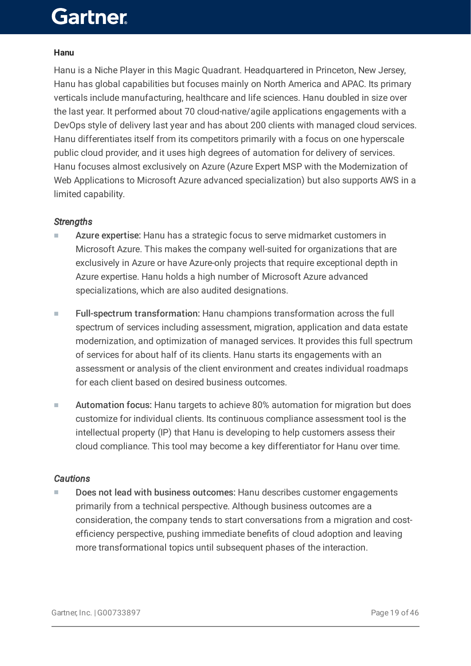#### **Hanu**

Hanu is a Niche Player in this Magic Quadrant. Headquartered in Princeton, New Jersey, Hanu has global capabilities but focuses mainly on North America and APAC. Its primary verticals include manufacturing, healthcare and life sciences. Hanu doubled in size over the last year. It performed about 70 cloud-native/agile applications engagements with a DevOps style of delivery last year and has about 200 clients with managed cloud services. Hanu differentiates itself from its competitors primarily with a focus on one hyperscale public cloud provider, and it uses high degrees of automation for delivery of services. Hanu focuses almost exclusively on Azure (Azure Expert MSP with the Modernization of Web Applications to Microsoft Azure advanced specialization) but also supports AWS in a limited capability.

#### *Strengths*

- Azure expertise: Hanu has a strategic focus to serve midmarket customers in Microsoft Azure. This makes the company well-suited for organizations that are exclusively in Azure or have Azure-only projects that require exceptional depth in Azure expertise. Hanu holds a high number of Microsoft Azure advanced specializations, which are also audited designations. ■
- Full-spectrum transformation: Hanu champions transformation across the full spectrum of services including assessment, migration, application and data estate modernization, and optimization of managed services. It provides this full spectrum of services for about half of its clients. Hanu starts its engagements with an assessment or analysis of the client environment and creates individual roadmaps for each client based on desired business outcomes. ■
- Automation focus: Hanu targets to achieve 80% automation for migration but does customize for individual clients. Its continuous compliance assessment tool is the intellectual property (IP) that Hanu is developing to help customers assess their cloud compliance. This tool may become a key differentiator for Hanu over time. ■

#### *Cautions*

Does not lead with business outcomes: Hanu describes customer engagements primarily from a technical perspective. Although business outcomes are a consideration, the company tends to start conversations from a migration and costefficiency perspective, pushing immediate benefits of cloud adoption and leaving more transformational topics until subsequent phases of the interaction. ■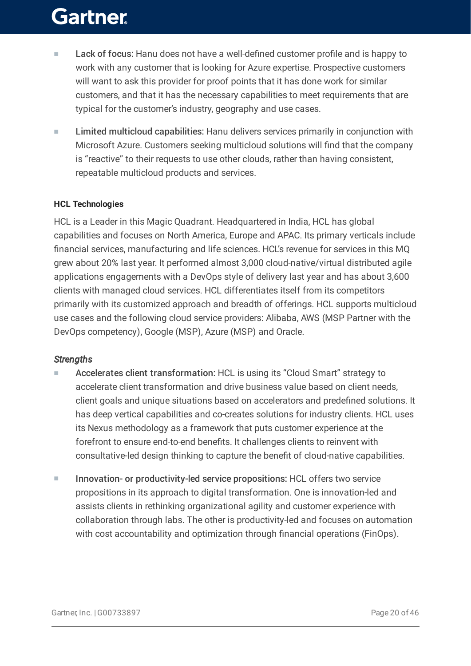- Lack of focus: Hanu does not have a well-defined customer profile and is happy to work with any customer that is looking for Azure expertise. Prospective customers will want to ask this provider for proof points that it has done work for similar customers, and that it has the necessary capabilities to meet requirements that are typical for the customer's industry, geography and use cases. ■
- Limited multicloud capabilities: Hanu delivers services primarily in conjunction with Microsoft Azure. Customers seeking multicloud solutions will find that the company is "reactive" to their requests to use other clouds, rather than having consistent, repeatable multicloud products and services. ■

#### **HCL Technologies**

HCL is a Leader in this Magic Quadrant. Headquartered in India, HCL has global capabilities and focuses on North America, Europe and APAC. Its primary verticals include financial services, manufacturing and life sciences. HCL's revenue for services in this MQ grew about 20% last year. It performed almost 3,000 cloud-native/virtual distributed agile applications engagements with a DevOps style of delivery last year and has about 3,600 clients with managed cloud services. HCL differentiates itself from its competitors primarily with its customized approach and breadth of offerings. HCL supports multicloud use cases and the following cloud service providers: Alibaba, AWS (MSP Partner with the DevOps competency), Google (MSP), Azure (MSP) and Oracle.

#### *Strengths*

- Accelerates client transformation: HCL is using its "Cloud Smart" strategy to accelerate client transformation and drive business value based on client needs, client goals and unique situations based on accelerators and predefined solutions. It has deep vertical capabilities and co-creates solutions for industry clients. HCL uses its Nexus methodology as a framework that puts customer experience at the forefront to ensure end-to-end benefits. It challenges clients to reinvent with consultative-led design thinking to capture the benefit of cloud-native capabilities. ■
- Innovation- or productivity-led service propositions: HCL offers two service propositions in its approach to digital transformation. One is innovation-led and assists clients in rethinking organizational agility and customer experience with collaboration through labs. The other is productivity-led and focuses on automation with cost accountability and optimization through financial operations (FinOps). ■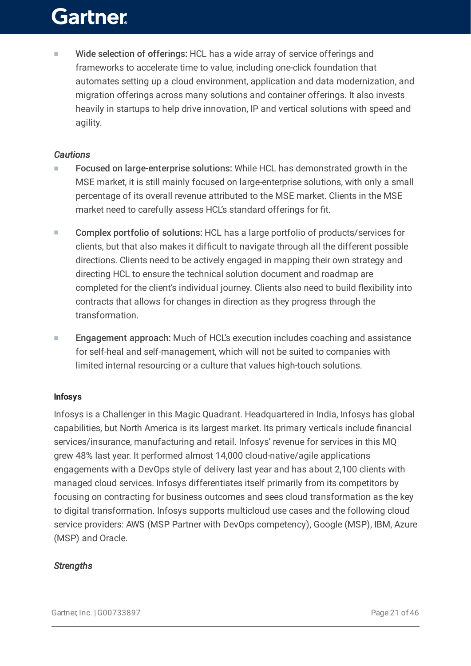Wide selection of offerings: HCL has a wide array of service offerings and frameworks to accelerate time to value, including one-click foundation that automates setting up a cloud environment, application and data modernization, and migration offerings across many solutions and container offerings. It also invests heavily in startups to help drive innovation, IP and vertical solutions with speed and agility. ■

#### *Cautions*

- Focused on large-enterprise solutions: While HCL has demonstrated growth in the MSE market, it is still mainly focused on large-enterprise solutions, with only a small percentage of its overall revenue attributed to the MSE market. Clients in the MSE market need to carefully assess HCL's standard offerings for fit. ■
- Complex portfolio of solutions: HCL has a large portfolio of products/services for clients, but that also makes it difficult to navigate through all the different possible directions. Clients need to be actively engaged in mapping their own strategy and directing HCL to ensure the technical solution document and roadmap are completed for the client's individual journey. Clients also need to build flexibility into contracts that allows for changes in direction as they progress through the transformation. ■
- Engagement approach: Much of HCL's execution includes coaching and assistance for self-heal and self-management, which will not be suited to companies with limited internal resourcing or a culture that values high-touch solutions. ■

#### **Infosys**

Infosys is a Challenger in this Magic Quadrant. Headquartered in India, Infosys has global capabilities, but North America is its largest market. Its primary verticals include financial services/insurance, manufacturing and retail. Infosys' revenue for services in this MQ grew 48% last year. It performed almost 14,000 cloud-native/agile applications engagements with a DevOps style of delivery last year and has about 2,100 clients with managed cloud services. Infosys differentiates itself primarily from its competitors by focusing on contracting for business outcomes and sees cloud transformation as the key to digital transformation. Infosys supports multicloud use cases and the following cloud service providers: AWS (MSP Partner with DevOps competency), Google (MSP), IBM, Azure (MSP) and Oracle.

#### *Strengths*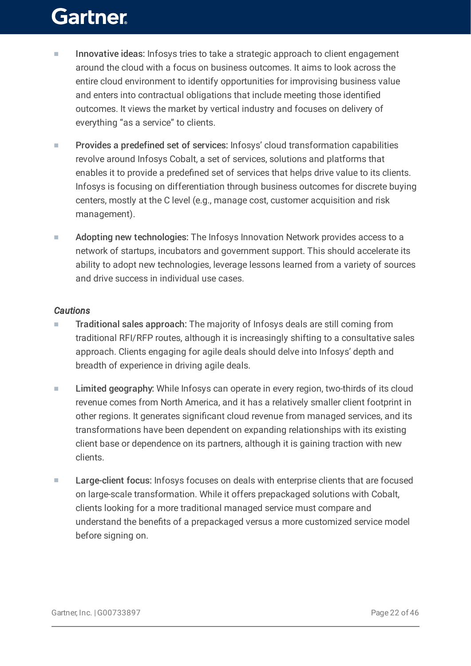- Innovative ideas: Infosys tries to take a strategic approach to client engagement around the cloud with a focus on business outcomes. It aims to look across the entire cloud environment to identify opportunities for improvising business value and enters into contractual obligations that include meeting those identified outcomes. It views the market by vertical industry and focuses on delivery of everything "as a service" to clients. ■
- Provides a predefined set of services: Infosys' cloud transformation capabilities revolve around Infosys Cobalt, a set of services, solutions and platforms that enables it to provide a predefined set of services that helps drive value to its clients. Infosys is focusing on differentiation through business outcomes for discrete buying centers, mostly at the C level (e.g., manage cost, customer acquisition and risk management). ■
- Adopting new technologies: The Infosys Innovation Network provides access to a network of startups, incubators and government support. This should accelerate its ability to adopt new technologies, leverage lessons learned from a variety of sources and drive success in individual use cases. ■

#### *Cautions*

- Traditional sales approach: The majority of Infosys deals are still coming from traditional RFI/RFP routes, although it is increasingly shifting to a consultative sales approach. Clients engaging for agile deals should delve into Infosys' depth and breadth of experience in driving agile deals. ■
- Limited geography: While Infosys can operate in every region, two-thirds of its cloud revenue comes from North America, and it has a relatively smaller client footprint in other regions. It generates significant cloud revenue from managed services, and its transformations have been dependent on expanding relationships with its existing client base or dependence on its partners, although it is gaining traction with new clients. ■
- Large-client focus: Infosys focuses on deals with enterprise clients that are focused on large-scale transformation. While it offers prepackaged solutions with Cobalt, clients looking for a more traditional managed service must compare and understand the benefits of a prepackaged versus a more customized service model before signing on. ■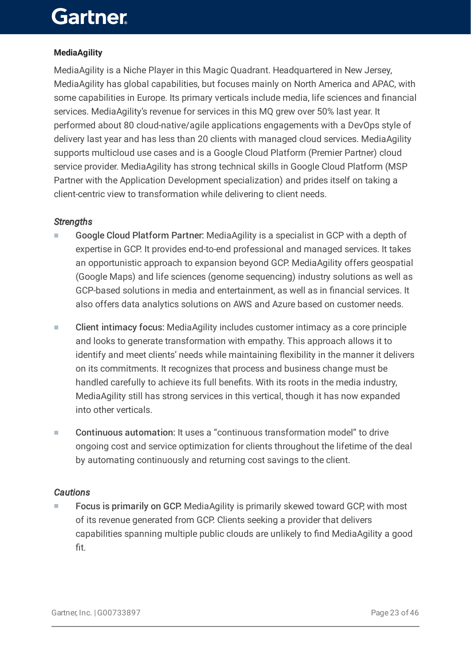#### **MediaAgility**

MediaAgility is a Niche Player in this Magic Quadrant. Headquartered in New Jersey, MediaAgility has global capabilities, but focuses mainly on North America and APAC, with some capabilities in Europe. Its primary verticals include media, life sciences and financial services. MediaAgility's revenue for services in this MQ grew over 50% last year. It performed about 80 cloud-native/agile applications engagements with a DevOps style of delivery last year and has less than 20 clients with managed cloud services. MediaAgility supports multicloud use cases and is a Google Cloud Platform (Premier Partner) cloud service provider. MediaAgility has strong technical skills in Google Cloud Platform (MSP Partner with the Application Development specialization) and prides itself on taking a client-centric view to transformation while delivering to client needs.

#### *Strengths*

- Google Cloud Platform Partner: MediaAgility is a specialist in GCP with a depth of expertise in GCP. It provides end-to-end professional and managed services. It takes an opportunistic approach to expansion beyond GCP. MediaAgility offers geospatial (Google Maps) and life sciences (genome sequencing) industry solutions as well as GCP-based solutions in media and entertainment, as well as in financial services. It also offers data analytics solutions on AWS and Azure based on customer needs. ■
- Client intimacy focus: MediaAgility includes customer intimacy as a core principle and looks to generate transformation with empathy. This approach allows it to identify and meet clients' needs while maintaining flexibility in the manner it delivers on its commitments. It recognizes that process and business change must be handled carefully to achieve its full benefits. With its roots in the media industry, MediaAgility still has strong services in this vertical, though it has now expanded into other verticals. ■
- Continuous automation: It uses a "continuous transformation model" to drive ongoing cost and service optimization for clients throughout the lifetime of the deal by automating continuously and returning cost savings to the client. ■

#### *Cautions*

Focus is primarily on GCP: MediaAgility is primarily skewed toward GCP, with most of its revenue generated from GCP. Clients seeking a provider that delivers capabilities spanning multiple public clouds are unlikely to find MediaAgility a good fit. ■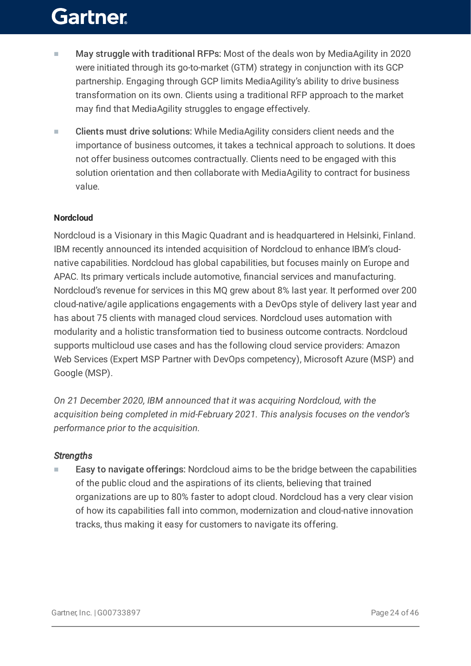- May struggle with traditional RFPs: Most of the deals won by MediaAgility in 2020 were initiated through its go-to-market (GTM) strategy in conjunction with its GCP partnership. Engaging through GCP limits MediaAgility's ability to drive business transformation on its own. Clients using a traditional RFP approach to the market may find that MediaAgility struggles to engage effectively. ■
- Clients must drive solutions: While MediaAgility considers client needs and the importance of business outcomes, it takes a technical approach to solutions. It does not offer business outcomes contractually. Clients need to be engaged with this solution orientation and then collaborate with MediaAgility to contract for business value. ■

#### **Nordcloud**

Nordcloud is a Visionary in this Magic Quadrant and is headquartered in Helsinki, Finland. IBM recently announced its intended acquisition of Nordcloud to enhance IBM's cloudnative capabilities. Nordcloud has global capabilities, but focuses mainly on Europe and APAC. Its primary verticals include automotive, financial services and manufacturing. Nordcloud's revenue for services in this MQ grew about 8% last year. It performed over 200 cloud-native/agile applications engagements with a DevOps style of delivery last year and has about 75 clients with managed cloud services. Nordcloud uses automation with modularity and a holistic transformation tied to business outcome contracts. Nordcloud supports multicloud use cases and has the following cloud service providers: Amazon Web Services (Expert MSP Partner with DevOps competency), Microsoft Azure (MSP) and Google (MSP).

*On 21 December 2020, IBM announced that it was acquiring Nordcloud, with the acquisition being completed in mid-February 2021. This analysis focuses on the vendor's performance prior to the acquisition.*

#### *Strengths*

Easy to navigate offerings: Nordcloud aims to be the bridge between the capabilities of the public cloud and the aspirations of its clients, believing that trained organizations are up to 80% faster to adopt cloud. Nordcloud has a very clear vision of how its capabilities fall into common, modernization and cloud-native innovation tracks, thus making it easy for customers to navigate its offering. ■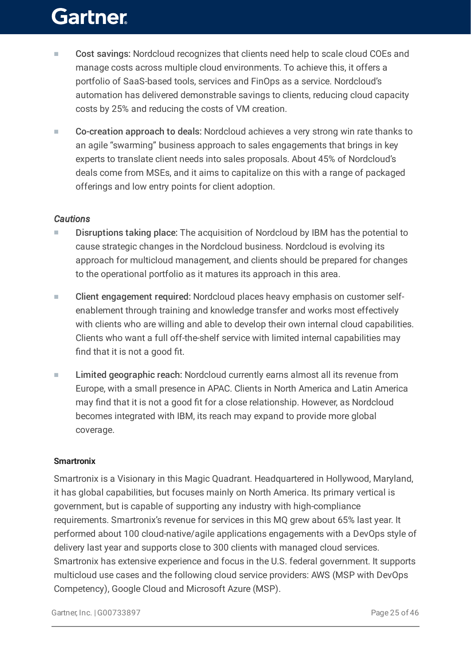- Cost savings: Nordcloud recognizes that clients need help to scale cloud COEs and manage costs across multiple cloud environments. To achieve this, it offers a portfolio of SaaS-based tools, services and FinOps as a service. Nordcloud's automation has delivered demonstrable savings to clients, reducing cloud capacity costs by 25% and reducing the costs of VM creation. ■
- Co-creation approach to deals: Nordcloud achieves a very strong win rate thanks to an agile "swarming" business approach to sales engagements that brings in key experts to translate client needs into sales proposals. About 45% of Nordcloud's deals come from MSEs, and it aims to capitalize on this with a range of packaged offerings and low entry points for client adoption. ■

#### *Cautions*

- Disruptions taking place: The acquisition of Nordcloud by IBM has the potential to cause strategic changes in the Nordcloud business. Nordcloud is evolving its approach for multicloud management, and clients should be prepared for changes to the operational portfolio as it matures its approach in this area. ■
- Client engagement required: Nordcloud places heavy emphasis on customer selfenablement through training and knowledge transfer and works most effectively with clients who are willing and able to develop their own internal cloud capabilities. Clients who want a full off-the-shelf service with limited internal capabilities may find that it is not a good fit. ■
- Limited geographic reach: Nordcloud currently earns almost all its revenue from Europe, with a small presence in APAC. Clients in North America and Latin America may find that it is not a good fit for a close relationship. However, as Nordcloud becomes integrated with IBM, its reach may expand to provide more global coverage. ■

#### **Smartronix**

Smartronix is a Visionary in this Magic Quadrant. Headquartered in Hollywood, Maryland, it has global capabilities, but focuses mainly on North America. Its primary vertical is government, but is capable of supporting any industry with high-compliance requirements. Smartronix's revenue for services in this MQ grew about 65% last year. It performed about 100 cloud-native/agile applications engagements with a DevOps style of delivery last year and supports close to 300 clients with managed cloud services. Smartronix has extensive experience and focus in the U.S. federal government. It supports multicloud use cases and the following cloud service providers: AWS (MSP with DevOps Competency), Google Cloud and Microsoft Azure (MSP).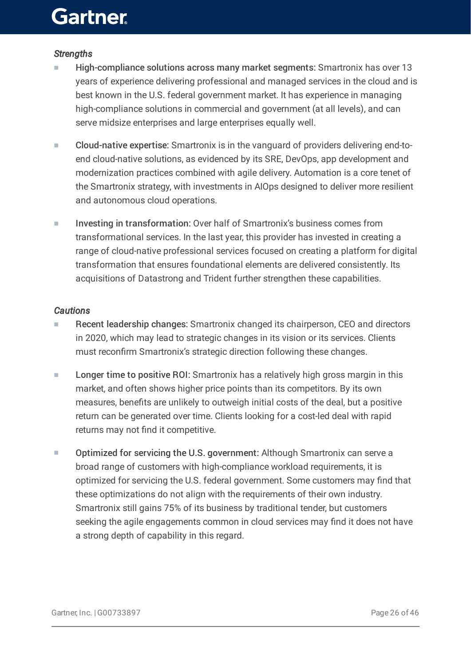#### *Strengths*

- High-compliance solutions across many market segments: Smartronix has over 13 years of experience delivering professional and managed services in the cloud and is best known in the U.S. federal government market. It has experience in managing high-compliance solutions in commercial and government (at all levels), and can serve midsize enterprises and large enterprises equally well. ■
- Cloud-native expertise: Smartronix is in the vanguard of providers delivering end-toend cloud-native solutions, as evidenced by its SRE, DevOps, app development and modernization practices combined with agile delivery. Automation is a core tenet of the Smartronix strategy, with investments in AIOps designed to deliver more resilient and autonomous cloud operations. ■
- Investing in transformation: Over half of Smartronix's business comes from transformational services. In the last year, this provider has invested in creating a range of cloud-native professional services focused on creating a platform for digital transformation that ensures foundational elements are delivered consistently. Its acquisitions of Datastrong and Trident further strengthen these capabilities. ■

#### *Cautions*

- Recent leadership changes: Smartronix changed its chairperson, CEO and directors in 2020, which may lead to strategic changes in its vision or its services. Clients must reconfirm Smartronix's strategic direction following these changes. ■
- Longer time to positive ROI: Smartronix has a relatively high gross margin in this market, and often shows higher price points than its competitors. By its own measures, benefits are unlikely to outweigh initial costs of the deal, but a positive return can be generated over time. Clients looking for a cost-led deal with rapid returns may not find it competitive. ■
- Optimized for servicing the U.S. government: Although Smartronix can serve a broad range of customers with high-compliance workload requirements, it is optimized for servicing the U.S. federal government. Some customers may find that these optimizations do not align with the requirements of their own industry. Smartronix still gains 75% of its business by traditional tender, but customers seeking the agile engagements common in cloud services may find it does not have a strong depth of capability in this regard. ■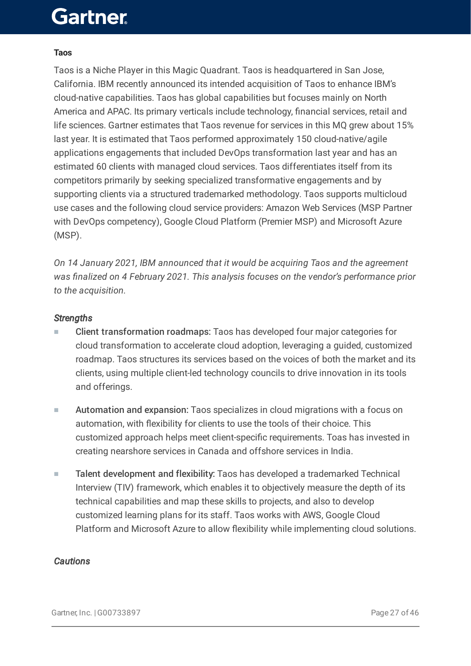#### **Taos**

Taos is a Niche Player in this Magic Quadrant. Taos is headquartered in San Jose, California. IBM recently announced its intended acquisition of Taos to enhance IBM's cloud-native capabilities. Taos has global capabilities but focuses mainly on North America and APAC. Its primary verticals include technology, financial services, retail and life sciences. Gartner estimates that Taos revenue for services in this MQ grew about 15% last year. It is estimated that Taos performed approximately 150 cloud-native/agile applications engagements that included DevOps transformation last year and has an estimated 60 clients with managed cloud services. Taos differentiates itself from its competitors primarily by seeking specialized transformative engagements and by supporting clients via a structured trademarked methodology. Taos supports multicloud use cases and the following cloud service providers: Amazon Web Services (MSP Partner with DevOps competency), Google Cloud Platform (Premier MSP) and Microsoft Azure (MSP).

*On 14 January 2021, IBM announced that it would be acquiring Taos and the agreement was finalized on 4 February 2021. This analysis focuses on the vendor's performance prior to the acquisition.*

#### *Strengths*

- Client transformation roadmaps: Taos has developed four major categories for cloud transformation to accelerate cloud adoption, leveraging a guided, customized roadmap. Taos structures its services based on the voices of both the market and its clients, using multiple client-led technology councils to drive innovation in its tools and offerings. ■
- Automation and expansion: Taos specializes in cloud migrations with a focus on automation, with flexibility for clients to use the tools of their choice. This customized approach helps meet client-specific requirements. Toas has invested in creating nearshore services in Canada and offshore services in India. ■
- Talent development and flexibility: Taos has developed a trademarked Technical Interview (TIV) framework, which enables it to objectively measure the depth of its technical capabilities and map these skills to projects, and also to develop customized learning plans for its staff. Taos works with AWS, Google Cloud Platform and Microsoft Azure to allow flexibility while implementing cloud solutions. ■

#### *Cautions*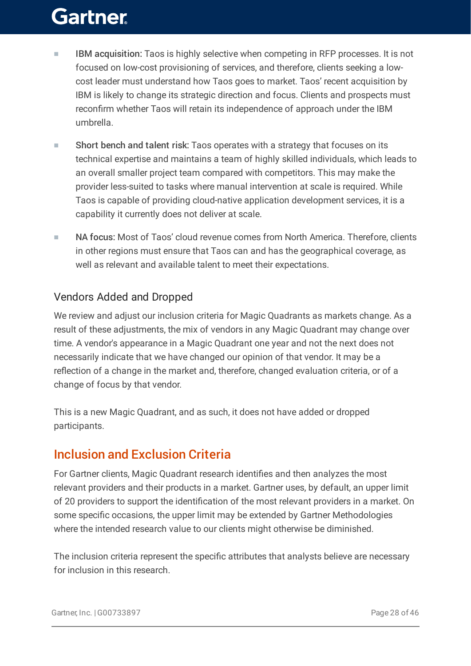- IBM acquisition: Taos is highly selective when competing in RFP processes. It is not focused on low-cost provisioning of services, and therefore, clients seeking a lowcost leader must understand how Taos goes to market. Taos' recent acquisition by IBM is likely to change its strategic direction and focus. Clients and prospects must reconfirm whether Taos will retain its independence of approach under the IBM umbrella. ■
- Short bench and talent risk: Taos operates with a strategy that focuses on its technical expertise and maintains a team of highly skilled individuals, which leads to an overall smaller project team compared with competitors. This may make the provider less-suited to tasks where manual intervention at scale is required. While Taos is capable of providing cloud-native application development services, it is a capability it currently does not deliver at scale. ■
- NA focus: Most of Taos' cloud revenue comes from North America. Therefore, clients in other regions must ensure that Taos can and has the geographical coverage, as well as relevant and available talent to meet their expectations. ■

### Vendors Added and Dropped

We review and adjust our inclusion criteria for Magic Quadrants as markets change. As a result of these adjustments, the mix of vendors in any Magic Quadrant may change over time. A vendor's appearance in a Magic Quadrant one year and not the next does not necessarily indicate that we have changed our opinion of that vendor. It may be a reflection of a change in the market and, therefore, changed evaluation criteria, or of a change of focus by that vendor.

This is a new Magic Quadrant, and as such, it does not have added or dropped participants.

### Inclusion and Exclusion Criteria

For Gartner clients, Magic Quadrant research identifies and then analyzes the most relevant providers and their products in a market. Gartner uses, by default, an upper limit of 20 providers to support the identification of the most relevant providers in a market. On some specific occasions, the upper limit may be extended by Gartner Methodologies where the intended research value to our clients might otherwise be diminished.

The inclusion criteria represent the specific attributes that analysts believe are necessary for inclusion in this research.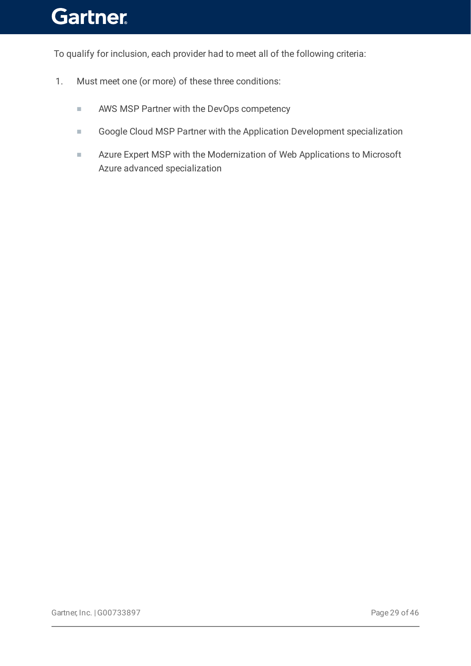To qualify for inclusion, each provider had to meet all of the following criteria:

- 1. Must meet one (or more) of these three conditions:
	- AWS MSP Partner with the DevOps competency
	- Google Cloud MSP Partner with the Application Development specialization
	- Azure Expert MSP with the Modernization of Web Applications to Microsoft Azure advanced specialization ■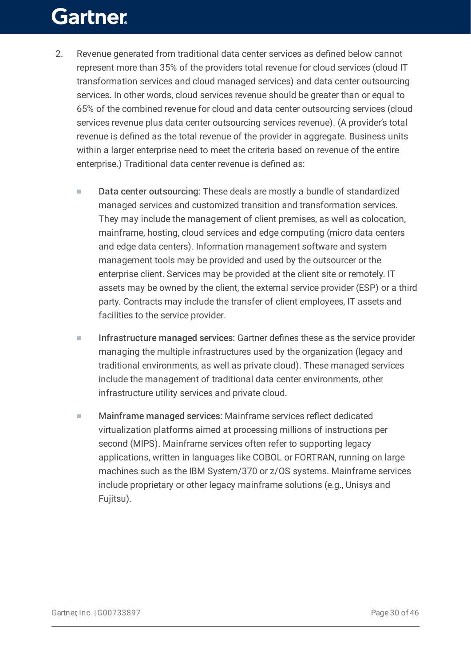- 2. Revenue generated from traditional data center services as defined below cannot represent more than 35% of the providers total revenue for cloud services (cloud IT transformation services and cloud managed services) and data center outsourcing services. In other words, cloud services revenue should be greater than or equal to 65% of the combined revenue for cloud and data center outsourcing services (cloud services revenue plus data center outsourcing services revenue). (A provider's total revenue is defined as the total revenue of the provider in aggregate. Business units within a larger enterprise need to meet the criteria based on revenue of the entire enterprise.) Traditional data center revenue is defined as:
	- Data center outsourcing: These deals are mostly a bundle of standardized managed services and customized transition and transformation services. They may include the management of client premises, as well as colocation, mainframe, hosting, cloud services and edge computing (micro data centers and edge data centers). Information management software and system management tools may be provided and used by the outsourcer or the enterprise client. Services may be provided at the client site or remotely. IT assets may be owned by the client, the external service provider (ESP) or a third party. Contracts may include the transfer of client employees, IT assets and facilities to the service provider. ■
	- Infrastructure managed services: Gartner defines these as the service provider managing the multiple infrastructures used by the organization (legacy and traditional environments, as well as private cloud). These managed services include the management of traditional data center environments, other infrastructure utility services and private cloud. ■
	- Mainframe managed services: Mainframe services reflect dedicated virtualization platforms aimed at processing millions of instructions per second (MIPS). Mainframe services often refer to supporting legacy applications, written in languages like COBOL or FORTRAN, running on large machines such as the IBM System/370 or z/OS systems. Mainframe services include proprietary or other legacy mainframe solutions (e.g., Unisys and Fujitsu). ■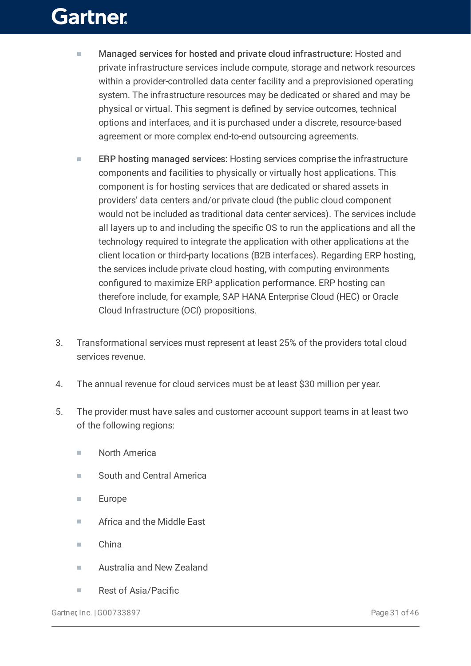- Managed services for hosted and private cloud infrastructure: Hosted and private infrastructure services include compute, storage and network resources within a provider-controlled data center facility and a preprovisioned operating system. The infrastructure resources may be dedicated or shared and may be physical or virtual. This segment is defined by service outcomes, technical options and interfaces, and it is purchased under a discrete, resource-based agreement or more complex end-to-end outsourcing agreements. ■
- ERP hosting managed services: Hosting services comprise the infrastructure components and facilities to physically or virtually host applications. This component is for hosting services that are dedicated or shared assets in providers' data centers and/or private cloud (the public cloud component would not be included as traditional data center services). The services include all layers up to and including the specific OS to run the applications and all the technology required to integrate the application with other applications at the client location or third-party locations (B2B interfaces). Regarding ERP hosting, the services include private cloud hosting, with computing environments configured to maximize ERP application performance. ERP hosting can therefore include, for example, SAP HANA Enterprise Cloud (HEC) or Oracle Cloud Infrastructure (OCI) propositions. ■
- 3. Transformational services must represent at least 25% of the providers total cloud services revenue.
- 4. The annual revenue for cloud services must be at least \$30 million per year.
- 5. The provider must have sales and customer account support teams in at least two of the following regions:
	- North America
	- South and Central America
	- Europe
	- Africa and the Middle East
	- China
	- Australia and New Zealand
	- Rest of Asia/Pacific

Gartner, Inc. | G00733897 Page 31 of 46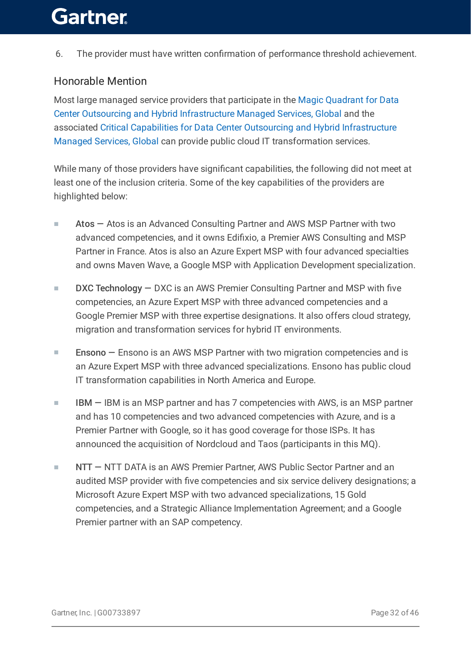6. The provider must have written confirmation of performance threshold achievement.

### Honorable Mention

Most large managed service providers that participate in the Magic Quadrant for Data Center Outsourcing and Hybrid [Infrastructure](https://www.gartner.com/document/code/733226?ref=authbody&refval=) Managed Services, Global and the associated Critical Capabilities for Data Center Outsourcing and Hybrid Infrastructure Managed Services, Global can provide public cloud IT [transformation](https://www.gartner.com/document/code/739673?ref=authbody&refval=) services.

While many of those providers have significant capabilities, the following did not meet at least one of the inclusion criteria. Some of the key capabilities of the providers are highlighted below:

- Atos Atos is an Advanced Consulting Partner and AWS MSP Partner with two advanced competencies, and it owns Edifixio, a Premier AWS Consulting and MSP Partner in France. Atos is also an Azure Expert MSP with four advanced specialties and owns Maven Wave, a Google MSP with Application Development specialization. ■
- DXC Technology DXC is an AWS Premier Consulting Partner and MSP with five competencies, an Azure Expert MSP with three advanced competencies and a Google Premier MSP with three expertise designations. It also offers cloud strategy, migration and transformation services for hybrid IT environments. ■
- Ensono Ensono is an AWS MSP Partner with two migration competencies and is an Azure Expert MSP with three advanced specializations. Ensono has public cloud IT transformation capabilities in North America and Europe. ■
- IBM IBM is an MSP partner and has 7 competencies with AWS, is an MSP partner and has 10 competencies and two advanced competencies with Azure, and is a Premier Partner with Google, so it has good coverage for those ISPs. It has announced the acquisition of Nordcloud and Taos (participants in this MQ). ■
- NTT NTT DATA is an AWS Premier Partner, AWS Public Sector Partner and an audited MSP provider with five competencies and six service delivery designations; a Microsoft Azure Expert MSP with two advanced specializations, 15 Gold competencies, and a Strategic Alliance Implementation Agreement; and a Google Premier partner with an SAP competency. ■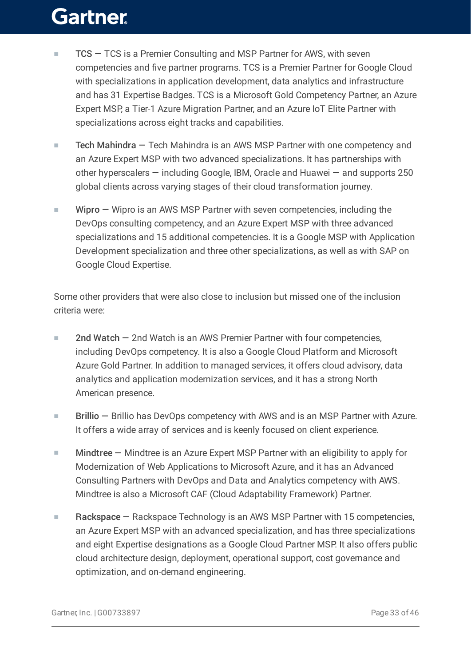- TCS TCS is a Premier Consulting and MSP Partner for AWS, with seven competencies and five partner programs. TCS is a Premier Partner for Google Cloud with specializations in application development, data analytics and infrastructure and has 31 Expertise Badges. TCS is a Microsoft Gold Competency Partner, an Azure Expert MSP, a Tier-1 Azure Migration Partner, and an Azure IoT Elite Partner with specializations across eight tracks and capabilities. ■
- Tech Mahindra Tech Mahindra is an AWS MSP Partner with one competency and an Azure Expert MSP with two advanced specializations. It has partnerships with other hyperscalers — including Google, IBM, Oracle and Huawei — and supports 250 global clients across varying stages of their cloud transformation journey. ■
- Wipro Wipro is an AWS MSP Partner with seven competencies, including the DevOps consulting competency, and an Azure Expert MSP with three advanced specializations and 15 additional competencies. It is a Google MSP with Application Development specialization and three other specializations, as well as with SAP on Google Cloud Expertise. ■

Some other providers that were also close to inclusion but missed one of the inclusion criteria were:

- 2nd Watch 2nd Watch is an AWS Premier Partner with four competencies, including DevOps competency. It is also a Google Cloud Platform and Microsoft Azure Gold Partner. In addition to managed services, it offers cloud advisory, data analytics and application modernization services, and it has a strong North American presence. ■
- Brillio Brillio has DevOps competency with AWS and is an MSP Partner with Azure. It offers a wide array of services and is keenly focused on client experience. ■
- Mindtree Mindtree is an Azure Expert MSP Partner with an eligibility to apply for Modernization of Web Applications to Microsoft Azure, and it has an Advanced Consulting Partners with DevOps and Data and Analytics competency with AWS. Mindtree is also a Microsoft CAF (Cloud Adaptability Framework) Partner. ■
- Rackspace Rackspace Technology is an AWS MSP Partner with 15 competencies, an Azure Expert MSP with an advanced specialization, and has three specializations and eight Expertise designations as a Google Cloud Partner MSP. It also offers public cloud architecture design, deployment, operational support, cost governance and optimization, and on-demand engineering. ■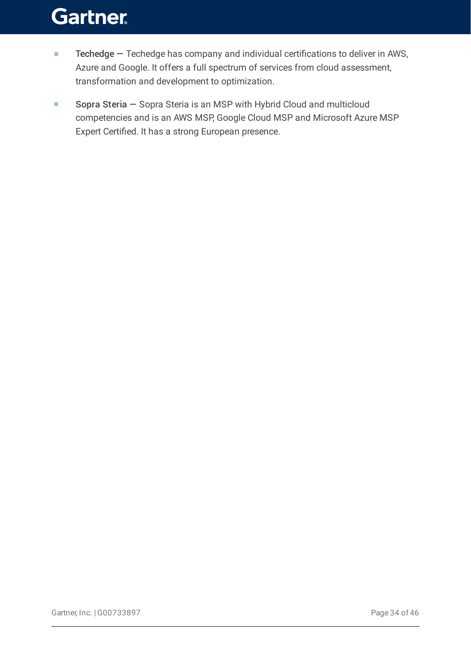- Techedge Techedge has company and individual certifications to deliver in AWS, Azure and Google. It offers a full spectrum of services from cloud assessment, transformation and development to optimization. ■
- Sopra Steria Sopra Steria is an MSP with Hybrid Cloud and multicloud competencies and is an AWS MSP, Google Cloud MSP and Microsoft Azure MSP Expert Certified. It has a strong European presence. ■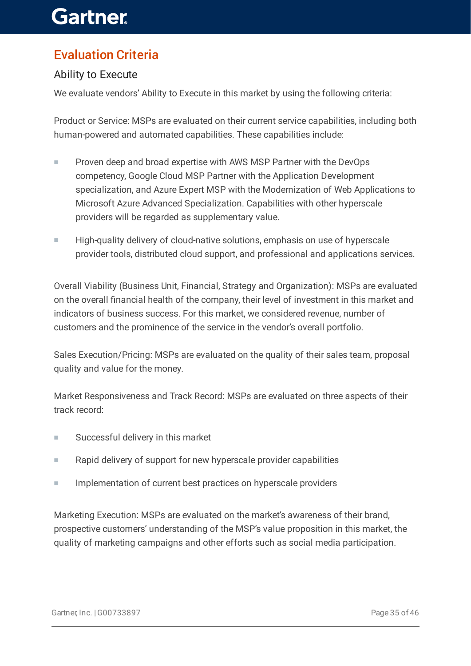### Evaluation Criteria

### Ability to Execute

We evaluate vendors' Ability to Execute in this market by using the following criteria:

Product or Service: MSPs are evaluated on their current service capabilities, including both human-powered and automated capabilities. These capabilities include:

- Proven deep and broad expertise with AWS MSP Partner with the DevOps competency, Google Cloud MSP Partner with the Application Development specialization, and Azure Expert MSP with the Modernization of Web Applications to Microsoft Azure Advanced Specialization. Capabilities with other hyperscale providers will be regarded as supplementary value. ■
- High-quality delivery of cloud-native solutions, emphasis on use of hyperscale provider tools, distributed cloud support, and professional and applications services. ■

Overall Viability (Business Unit, Financial, Strategy and Organization): MSPs are evaluated on the overall financial health of the company, their level of investment in this market and indicators of business success. For this market, we considered revenue, number of customers and the prominence of the service in the vendor's overall portfolio.

Sales Execution/Pricing: MSPs are evaluated on the quality of their sales team, proposal quality and value for the money.

Market Responsiveness and Track Record: MSPs are evaluated on three aspects of their track record:

- Successful delivery in this market
- Rapid delivery of support for new hyperscale provider capabilities
- Implementation of current best practices on hyperscale providers

Marketing Execution: MSPs are evaluated on the market's awareness of their brand, prospective customers' understanding of the MSP's value proposition in this market, the quality of marketing campaigns and other efforts such as social media participation.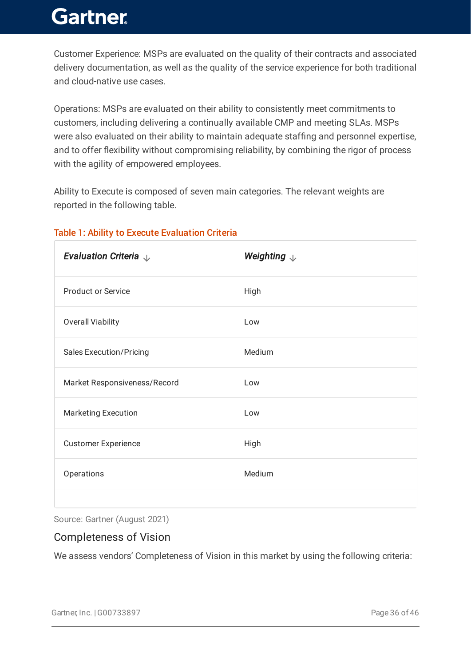Customer Experience: MSPs are evaluated on the quality of their contracts and associated delivery documentation, as well as the quality of the service experience for both traditional and cloud-native use cases.

Operations: MSPs are evaluated on their ability to consistently meet commitments to customers, including delivering a continually available CMP and meeting SLAs. MSPs were also evaluated on their ability to maintain adequate staffing and personnel expertise, and to offer flexibility without compromising reliability, by combining the rigor of process with the agility of empowered employees.

Ability to Execute is composed of seven main categories. The relevant weights are reported in the following table.

| Evaluation Criteria $\downarrow$ | Weighting $\downarrow$ |
|----------------------------------|------------------------|
| <b>Product or Service</b>        | High                   |
| <b>Overall Viability</b>         | Low                    |
| <b>Sales Execution/Pricing</b>   | Medium                 |
| Market Responsiveness/Record     | Low                    |
| <b>Marketing Execution</b>       | Low                    |
| <b>Customer Experience</b>       | High                   |
| Operations                       | Medium                 |
|                                  |                        |

### Table 1: Ability to Execute Evaluation Criteria

Source: Gartner (August 2021)

### Completeness of Vision

We assess vendors' Completeness of Vision in this market by using the following criteria: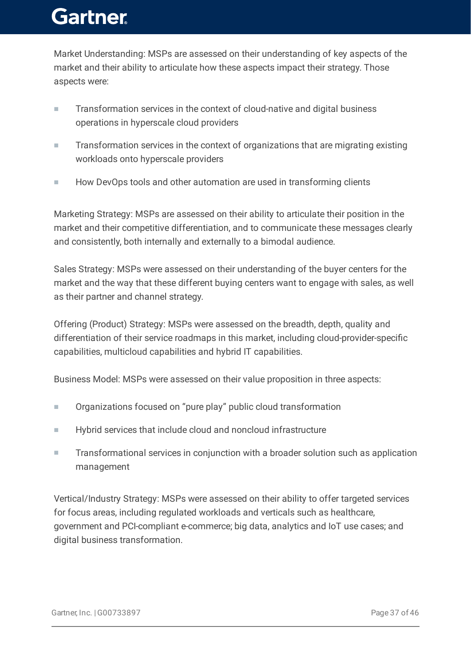Market Understanding: MSPs are assessed on their understanding of key aspects of the market and their ability to articulate how these aspects impact their strategy. Those aspects were:

- Transformation services in the context of cloud-native and digital business operations in hyperscale cloud providers ■
- Transformation services in the context of organizations that are migrating existing workloads onto hyperscale providers ■
- How DevOps tools and other automation are used in transforming clients

Marketing Strategy: MSPs are assessed on their ability to articulate their position in the market and their competitive differentiation, and to communicate these messages clearly and consistently, both internally and externally to a bimodal audience.

Sales Strategy: MSPs were assessed on their understanding of the buyer centers for the market and the way that these different buying centers want to engage with sales, as well as their partner and channel strategy.

Offering (Product) Strategy: MSPs were assessed on the breadth, depth, quality and differentiation of their service roadmaps in this market, including cloud-provider-specific capabilities, multicloud capabilities and hybrid IT capabilities.

Business Model: MSPs were assessed on their value proposition in three aspects:

- Organizations focused on "pure play" public cloud transformation
- Hybrid services that include cloud and noncloud infrastructure
- Transformational services in conjunction with a broader solution such as application management ■

Vertical/Industry Strategy: MSPs were assessed on their ability to offer targeted services for focus areas, including regulated workloads and verticals such as healthcare, government and PCI-compliant e-commerce; big data, analytics and IoT use cases; and digital business transformation.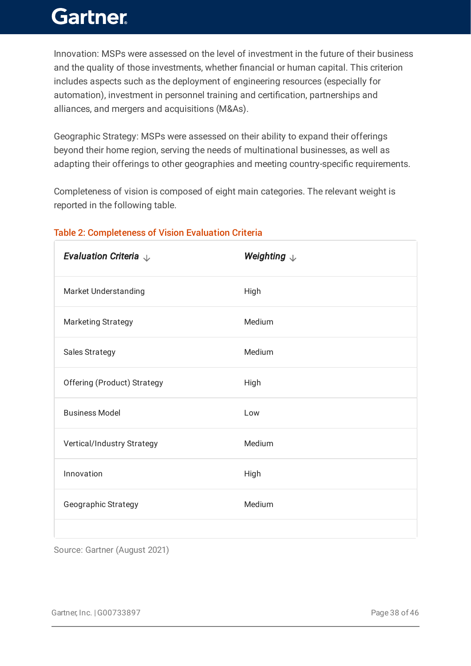Innovation: MSPs were assessed on the level of investment in the future of their business and the quality of those investments, whether financial or human capital. This criterion includes aspects such as the deployment of engineering resources (especially for automation), investment in personnel training and certification, partnerships and alliances, and mergers and acquisitions (M&As).

Geographic Strategy: MSPs were assessed on their ability to expand their offerings beyond their home region, serving the needs of multinational businesses, as well as adapting their offerings to other geographies and meeting country-specific requirements.

Completeness of vision is composed of eight main categories. The relevant weight is reported in the following table.

| Evaluation Criteria $\downarrow$ | Weighting $\downarrow$ |
|----------------------------------|------------------------|
| Market Understanding             | High                   |
| <b>Marketing Strategy</b>        | Medium                 |
| <b>Sales Strategy</b>            | Medium                 |
| Offering (Product) Strategy      | High                   |
| <b>Business Model</b>            | Low                    |
| Vertical/Industry Strategy       | Medium                 |
| Innovation                       | High                   |
| Geographic Strategy              | Medium                 |
|                                  |                        |

### Table 2: Completeness of Vision Evaluation Criteria

Source: Gartner (August 2021)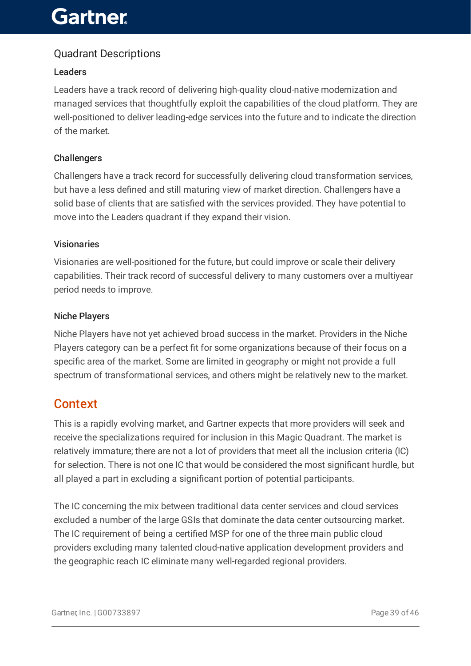### Quadrant Descriptions

#### Leaders

Leaders have a track record of delivering high-quality cloud-native modernization and managed services that thoughtfully exploit the capabilities of the cloud platform. They are well-positioned to deliver leading-edge services into the future and to indicate the direction of the market.

#### **Challengers**

Challengers have a track record for successfully delivering cloud transformation services, but have a less defined and still maturing view of market direction. Challengers have a solid base of clients that are satisfied with the services provided. They have potential to move into the Leaders quadrant if they expand their vision.

#### Visionaries

Visionaries are well-positioned for the future, but could improve or scale their delivery capabilities. Their track record of successful delivery to many customers over a multiyear period needs to improve.

#### Niche Players

Niche Players have not yet achieved broad success in the market. Providers in the Niche Players category can be a perfect fit for some organizations because of their focus on a specific area of the market. Some are limited in geography or might not provide a full spectrum of transformational services, and others might be relatively new to the market.

### Context

This is a rapidly evolving market, and Gartner expects that more providers will seek and receive the specializations required for inclusion in this Magic Quadrant. The market is relatively immature; there are not a lot of providers that meet all the inclusion criteria (IC) for selection. There is not one IC that would be considered the most significant hurdle, but all played a part in excluding a significant portion of potential participants.

The IC concerning the mix between traditional data center services and cloud services excluded a number of the large GSIs that dominate the data center outsourcing market. The IC requirement of being a certified MSP for one of the three main public cloud providers excluding many talented cloud-native application development providers and the geographic reach IC eliminate many well-regarded regional providers.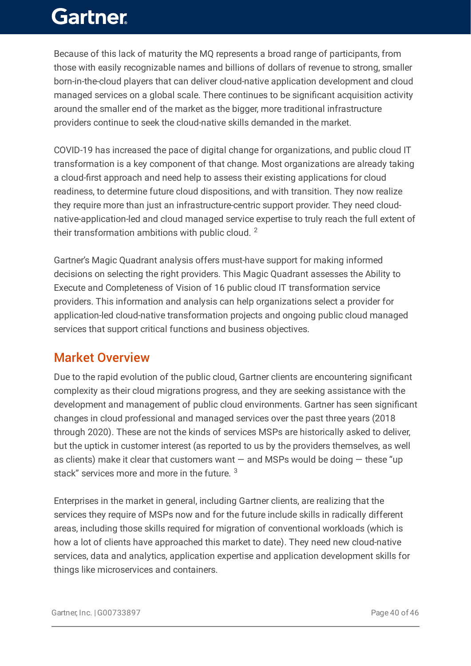Because of this lack of maturity the MQ represents a broad range of participants, from those with easily recognizable names and billions of dollars of revenue to strong, smaller born-in-the-cloud players that can deliver cloud-native application development and cloud managed services on a global scale. There continues to be significant acquisition activity around the smaller end of the market as the bigger, more traditional infrastructure providers continue to seek the cloud-native skills demanded in the market.

COVID-19 has increased the pace of digital change for organizations, and public cloud IT transformation is a key component of that change. Most organizations are already taking a cloud-first approach and need help to assess their existing applications for cloud readiness, to determine future cloud dispositions, and with transition. They now realize they require more than just an infrastructure-centric support provider. They need cloudnative-application-led and cloud managed service expertise to truly reach the full extent of their transformation ambitions with public cloud.  $^2$ 

Gartner's Magic Quadrant analysis offers must-have support for making informed decisions on selecting the right providers. This Magic Quadrant assesses the Ability to Execute and Completeness of Vision of 16 public cloud IT transformation service providers. This information and analysis can help organizations select a provider for application-led cloud-native transformation projects and ongoing public cloud managed services that support critical functions and business objectives.

### Market Overview

Due to the rapid evolution of the public cloud, Gartner clients are encountering significant complexity as their cloud migrations progress, and they are seeking assistance with the development and management of public cloud environments. Gartner has seen significant changes in cloud professional and managed services over the past three years (2018 through 2020). These are not the kinds of services MSPs are historically asked to deliver, but the uptick in customer interest (as reported to us by the providers themselves, as well as clients) make it clear that customers want  $-$  and MSPs would be doing  $-$  these "up stack" services more and more in the future.  $^3$ 

Enterprises in the market in general, including Gartner clients, are realizing that the services they require of MSPs now and for the future include skills in radically different areas, including those skills required for migration of conventional workloads (which is how a lot of clients have approached this market to date). They need new cloud-native services, data and analytics, application expertise and application development skills for things like microservices and containers.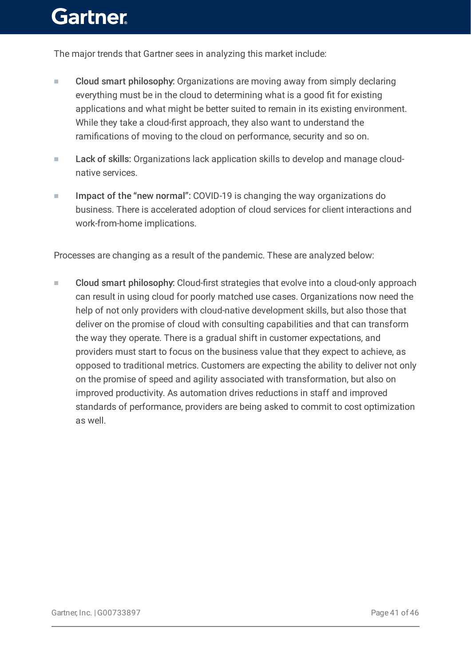The major trends that Gartner sees in analyzing this market include:

- Cloud smart philosophy: Organizations are moving away from simply declaring everything must be in the cloud to determining what is a good fit for existing applications and what might be better suited to remain in its existing environment. While they take a cloud-first approach, they also want to understand the ramifications of moving to the cloud on performance, security and so on. ■
- Lack of skills: Organizations lack application skills to develop and manage cloudnative services. ■
- Impact of the "new normal": COVID-19 is changing the way organizations do business. There is accelerated adoption of cloud services for client interactions and work-from-home implications. ■

Processes are changing as a result of the pandemic. These are analyzed below:

Cloud smart philosophy: Cloud-first strategies that evolve into a cloud-only approach can result in using cloud for poorly matched use cases. Organizations now need the help of not only providers with cloud-native development skills, but also those that deliver on the promise of cloud with consulting capabilities and that can transform the way they operate. There is a gradual shift in customer expectations, and providers must start to focus on the business value that they expect to achieve, as opposed to traditional metrics. Customers are expecting the ability to deliver not only on the promise of speed and agility associated with transformation, but also on improved productivity. As automation drives reductions in staff and improved standards of performance, providers are being asked to commit to cost optimization as well. ■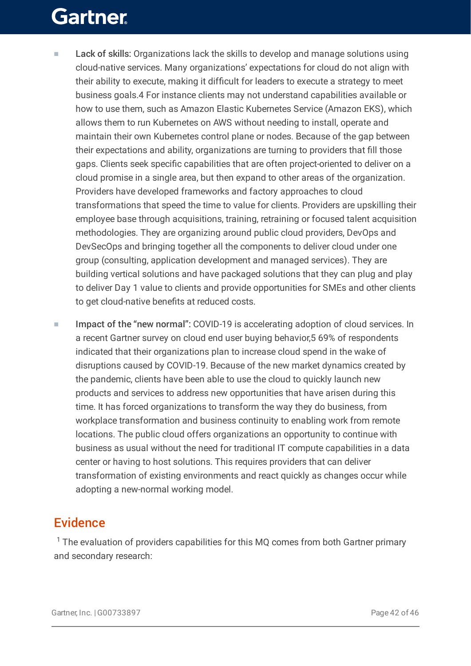- Lack of skills: Organizations lack the skills to develop and manage solutions using cloud-native services. Many organizations' expectations for cloud do not align with their ability to execute, making it difficult for leaders to execute a strategy to meet business goals.4 For instance clients may not understand capabilities available or how to use them, such as Amazon Elastic Kubernetes Service (Amazon EKS), which allows them to run Kubernetes on AWS without needing to install, operate and maintain their own Kubernetes control plane or nodes. Because of the gap between their expectations and ability, organizations are turning to providers that fill those gaps. Clients seek specific capabilities that are often project-oriented to deliver on a cloud promise in a single area, but then expand to other areas of the organization. Providers have developed frameworks and factory approaches to cloud transformations that speed the time to value for clients. Providers are upskilling their employee base through acquisitions, training, retraining or focused talent acquisition methodologies. They are organizing around public cloud providers, DevOps and DevSecOps and bringing together all the components to deliver cloud under one group (consulting, application development and managed services). They are building vertical solutions and have packaged solutions that they can plug and play to deliver Day 1 value to clients and provide opportunities for SMEs and other clients to get cloud-native benefits at reduced costs. ■
- Impact of the "new normal": COVID-19 is accelerating adoption of cloud services. In a recent Gartner survey on cloud end user buying behavior,5 69% of respondents indicated that their organizations plan to increase cloud spend in the wake of disruptions caused by COVID-19. Because of the new market dynamics created by the pandemic, clients have been able to use the cloud to quickly launch new products and services to address new opportunities that have arisen during this time. It has forced organizations to transform the way they do business, from workplace transformation and business continuity to enabling work from remote locations. The public cloud offers organizations an opportunity to continue with business as usual without the need for traditional IT compute capabilities in a data center or having to host solutions. This requires providers that can deliver transformation of existing environments and react quickly as changes occur while adopting a new-normal working model. ■

### **Evidence**

 $1$  The evaluation of providers capabilities for this MQ comes from both Gartner primary and secondary research: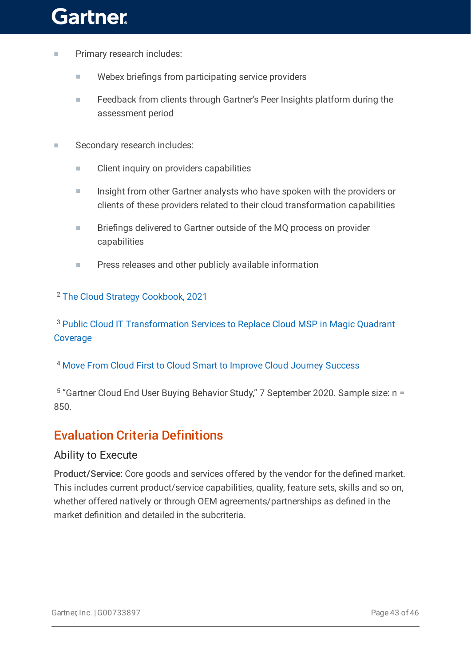- Primary research includes:
	- Webex briefings from participating service providers
	- Feedback from clients through Gartner's Peer Insights platform during the assessment period ■
- Secondary research includes:
	- Client inquiry on providers capabilities
	- Insight from other Gartner analysts who have spoken with the providers or clients of these providers related to their cloud transformation capabilities ■
	- Briefings delivered to Gartner outside of the MQ process on provider capabilities ■
	- Press releases and other publicly available information

<sup>2</sup> The Cloud Strategy [Cookbook,](https://www.gartner.com/document/code/741474?ref=authbody&refval=) 2021

<sup>3</sup> Public Cloud IT [Transformation](https://www.gartner.com/document/code/747072?ref=authbody&refval=) Services to Replace Cloud MSP in Magic Quadrant Coverage

<sup>4</sup> Move From Cloud First to Cloud Smart to Improve Cloud Journey [Success](https://www.gartner.com/document/code/467017?ref=authbody&refval=)

<sup>5</sup> "Gartner Cloud End User Buying Behavior Study," 7 September 2020. Sample size: n = 850.

### Evaluation Criteria Definitions

### Ability to Execute

Product/Service: Core goods and services offered by the vendor for the defined market. This includes current product/service capabilities, quality, feature sets, skills and so on, whether offered natively or through OEM agreements/partnerships as defined in the market definition and detailed in the subcriteria.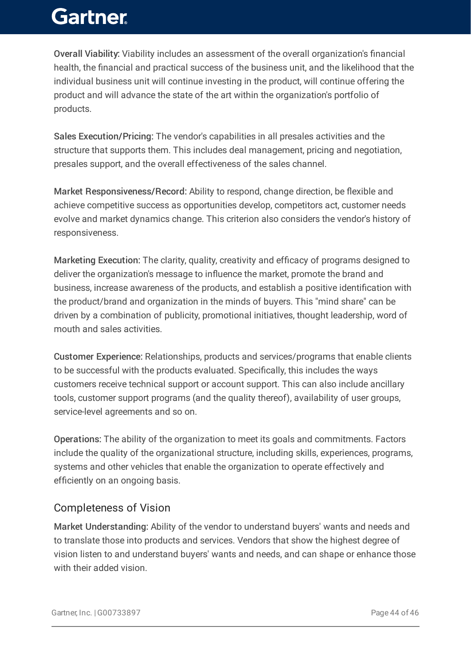Overall Viability: Viability includes an assessment of the overall organization's financial health, the financial and practical success of the business unit, and the likelihood that the individual business unit will continue investing in the product, will continue offering the product and will advance the state of the art within the organization's portfolio of products.

Sales Execution/Pricing: The vendor's capabilities in all presales activities and the structure that supports them. This includes deal management, pricing and negotiation, presales support, and the overall effectiveness of the sales channel.

Market Responsiveness/Record: Ability to respond, change direction, be flexible and achieve competitive success as opportunities develop, competitors act, customer needs evolve and market dynamics change. This criterion also considers the vendor's history of responsiveness.

Marketing Execution: The clarity, quality, creativity and efficacy of programs designed to deliver the organization's message to influence the market, promote the brand and business, increase awareness of the products, and establish a positive identification with the product/brand and organization in the minds of buyers. This "mind share" can be driven by a combination of publicity, promotional initiatives, thought leadership, word of mouth and sales activities.

Customer Experience: Relationships, products and services/programs that enable clients to be successful with the products evaluated. Specifically, this includes the ways customers receive technical support or account support. This can also include ancillary tools, customer support programs (and the quality thereof), availability of user groups, service-level agreements and so on.

Operations: The ability of the organization to meet its goals and commitments. Factors include the quality of the organizational structure, including skills, experiences, programs, systems and other vehicles that enable the organization to operate effectively and efficiently on an ongoing basis.

### Completeness of Vision

Market Understanding: Ability of the vendor to understand buyers' wants and needs and to translate those into products and services. Vendors that show the highest degree of vision listen to and understand buyers' wants and needs, and can shape or enhance those with their added vision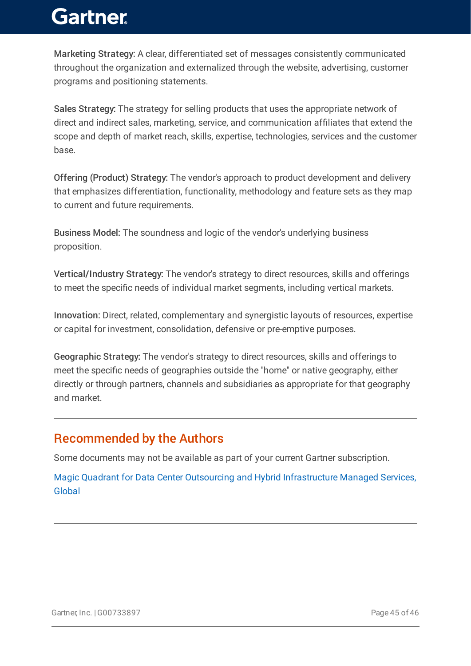Marketing Strategy: A clear, differentiated set of messages consistently communicated throughout the organization and externalized through the website, advertising, customer programs and positioning statements.

Sales Strategy: The strategy for selling products that uses the appropriate network of direct and indirect sales, marketing, service, and communication affiliates that extend the scope and depth of market reach, skills, expertise, technologies, services and the customer base.

Offering (Product) Strategy: The vendor's approach to product development and delivery that emphasizes differentiation, functionality, methodology and feature sets as they map to current and future requirements.

Business Model: The soundness and logic of the vendor's underlying business proposition.

Vertical/Industry Strategy: The vendor's strategy to direct resources, skills and offerings to meet the specific needs of individual market segments, including vertical markets.

Innovation: Direct, related, complementary and synergistic layouts of resources, expertise or capital for investment, consolidation, defensive or pre-emptive purposes.

Geographic Strategy: The vendor's strategy to direct resources, skills and offerings to meet the specific needs of geographies outside the "home" or native geography, either directly or through partners, channels and subsidiaries as appropriate for that geography and market.

### Recommended by the Authors

Some documents may not be available as part of your current Gartner subscription.

Magic Quadrant for Data Center Outsourcing and Hybrid [Infrastructure](https://www.gartner.com/document/4004044?ref=authbottomrec&refval=) Managed Services, Global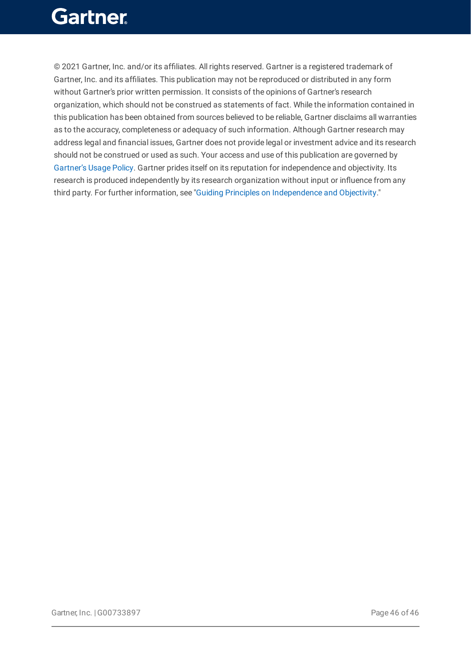© 2021 Gartner, Inc. and/or its affiliates. All rights reserved. Gartner is a registered trademark of Gartner, Inc. and its affiliates. This publication may not be reproduced or distributed in any form without Gartner's prior written permission. It consists of the opinions of Gartner's research organization, which should not be construed as statements of fact. While the information contained in this publication has been obtained from sources believed to be reliable, Gartner disclaims all warranties as to the accuracy, completeness or adequacy of such information. Although Gartner research may address legal and financial issues, Gartner does not provide legal or investment advice and its research should not be construed or used as such. Your access and use of this publication are governed by [Gartner's](https://www.gartner.com/technology/about/policies/usage_policy.jsp) Usage Policy. Gartner prides itself on its reputation for independence and objectivity. Its research is produced independently by its research organization without input or influence from any third party. For further information, see "Guiding Principles on [Independence](https://www.gartner.com/technology/about/ombudsman/omb_guide2.jsp) and Objectivity."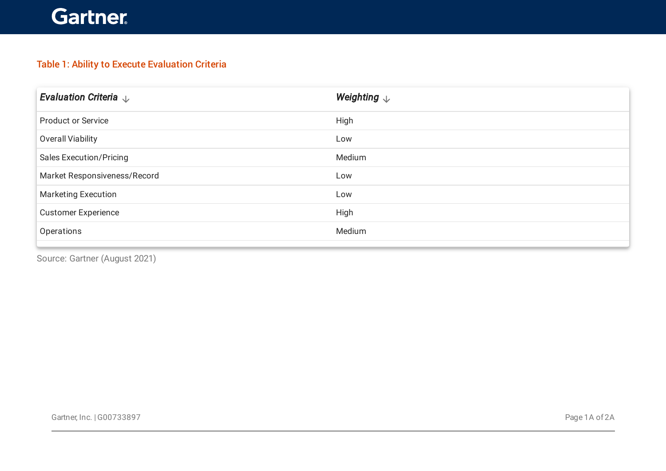### Table 1: Ability to Execute Evaluation Criteria

| Evaluation Criteria $\downarrow$ | Weighting $\downarrow$ |
|----------------------------------|------------------------|
| <b>Product or Service</b>        | High                   |
| Overall Viability                | Low                    |
| <b>Sales Execution/Pricing</b>   | Medium                 |
| Market Responsiveness/Record     | Low                    |
| <b>Marketing Execution</b>       | Low                    |
| <b>Customer Experience</b>       | High                   |
| Operations                       | Medium                 |
|                                  |                        |

Source: Gartner (August 2021)